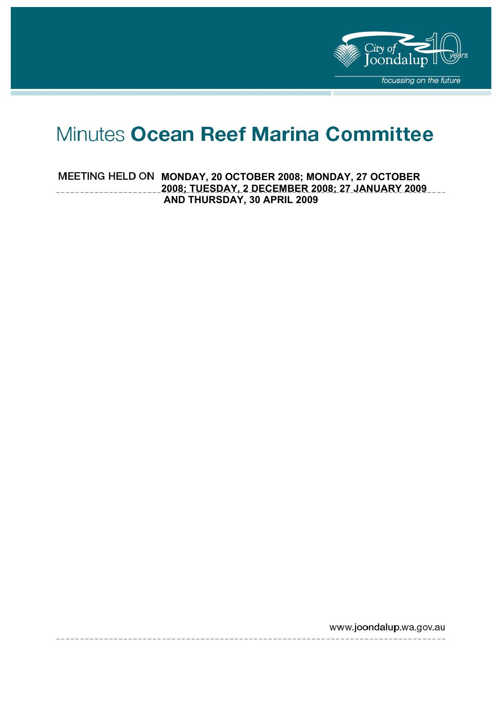

# Minutes Ocean Reef Marina Committee

**MEETING HELD ON MONDAY, 20 OCTOBER 2008; MONDAY, 27 OCTOBER 2008; TUESDAY, 2 DECEMBER 2008; 27 JANUARY 2009 AND THURSDAY, 30 APRIL 2009** 

www.joondalup.wa.gov.au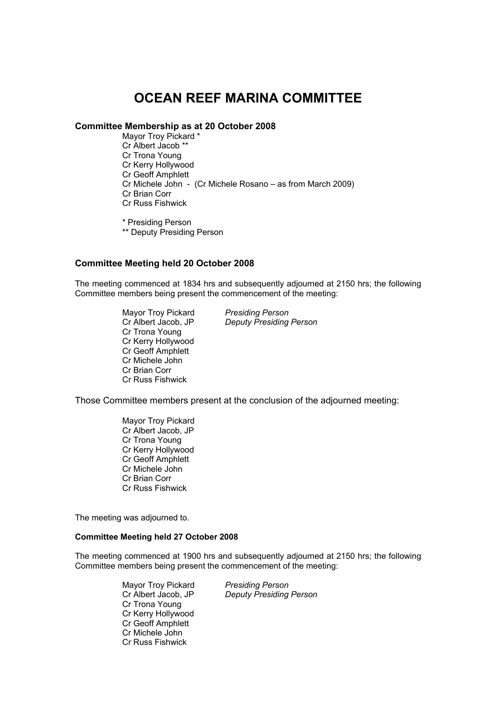# **OCEAN REEF MARINA COMMITTEE**

#### **Committee Membership as at 20 October 2008**

Mayor Troy Pickard \* Cr Albert Jacob \*\* Cr Trona Young Cr Kerry Hollywood Cr Geoff Amphlett Cr Michele John - (Cr Michele Rosano – as from March 2009) Cr Brian Corr Cr Russ Fishwick

\* Presiding Person

\*\* Deputy Presiding Person

#### **Committee Meeting held 20 October 2008**

The meeting commenced at 1834 hrs and subsequently adjourned at 2150 hrs; the following Committee members being present the commencement of the meeting:

> Mayor Troy Pickard *Presiding Person*  Cr Trona Young Cr Kerry Hollywood Cr Geoff Amphlett Cr Michele John Cr Brian Corr Cr Russ Fishwick

**Deputy Presiding Person** 

Those Committee members present at the conclusion of the adjourned meeting:

Mayor Troy Pickard Cr Albert Jacob, JP Cr Trona Young Cr Kerry Hollywood Cr Geoff Amphlett Cr Michele John Cr Brian Corr Cr Russ Fishwick

The meeting was adjourned to.

#### **Committee Meeting held 27 October 2008**

The meeting commenced at 1900 hrs and subsequently adjourned at 2150 hrs; the following Committee members being present the commencement of the meeting:

> Mayor Troy Pickard *Presiding Person*  Cr Trona Young Cr Kerry Hollywood Cr Geoff Amphlett Cr Michele John Cr Russ Fishwick

Cr Albert Jacob, JP *Deputy Presiding Person*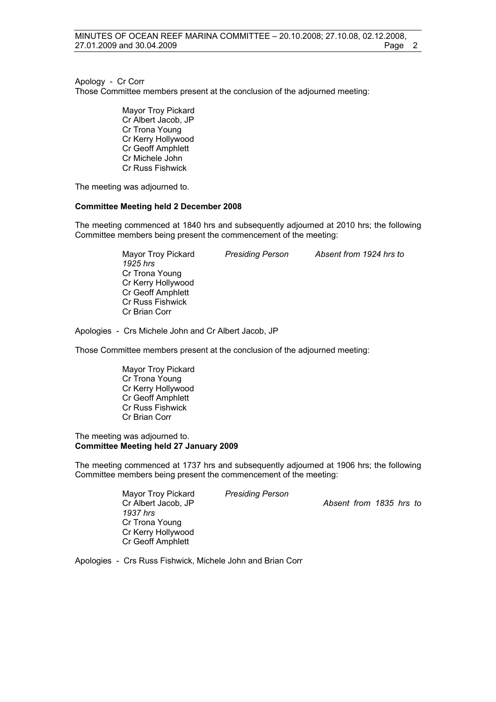Apology - Cr Corr

Those Committee members present at the conclusion of the adjourned meeting:

Mayor Troy Pickard Cr Albert Jacob, JP Cr Trona Young Cr Kerry Hollywood Cr Geoff Amphlett Cr Michele John Cr Russ Fishwick

The meeting was adjourned to.

#### **Committee Meeting held 2 December 2008**

The meeting commenced at 1840 hrs and subsequently adjourned at 2010 hrs; the following Committee members being present the commencement of the meeting:

> Mayor Troy Pickard *Presiding Person Absent from 1924 hrs to 1925 hrs*  Cr Trona Young Cr Kerry Hollywood Cr Geoff Amphlett Cr Russ Fishwick Cr Brian Corr

Apologies - Crs Michele John and Cr Albert Jacob, JP

Those Committee members present at the conclusion of the adjourned meeting:

Mayor Troy Pickard Cr Trona Young Cr Kerry Hollywood Cr Geoff Amphlett Cr Russ Fishwick Cr Brian Corr

#### The meeting was adjourned to. **Committee Meeting held 27 January 2009**

The meeting commenced at 1737 hrs and subsequently adjourned at 1906 hrs; the following Committee members being present the commencement of the meeting:

Mayor Troy Pickard *Presiding Person* 

Cr Albert Jacob, JP *Absent from 1835 hrs to* 

*1937 hrs* Cr Trona Young Cr Kerry Hollywood Cr Geoff Amphlett

Apologies - Crs Russ Fishwick, Michele John and Brian Corr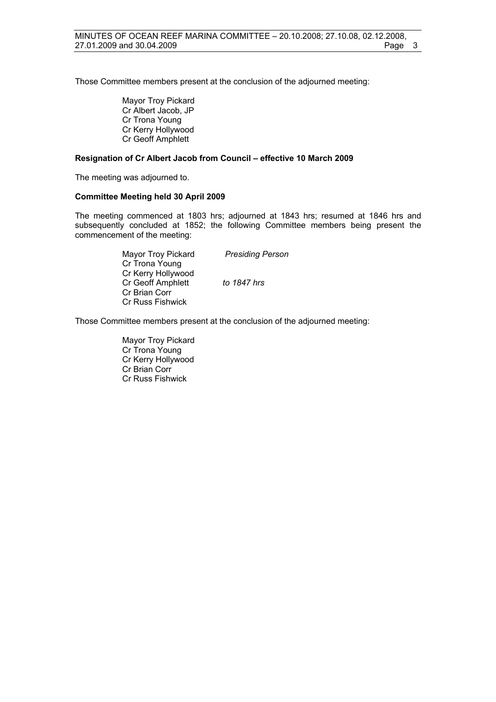Those Committee members present at the conclusion of the adjourned meeting:

Mayor Troy Pickard Cr Albert Jacob, JP Cr Trona Young Cr Kerry Hollywood Cr Geoff Amphlett

#### **Resignation of Cr Albert Jacob from Council – effective 10 March 2009**

The meeting was adjourned to.

#### **Committee Meeting held 30 April 2009**

The meeting commenced at 1803 hrs; adjourned at 1843 hrs; resumed at 1846 hrs and subsequently concluded at 1852; the following Committee members being present the commencement of the meeting:

> Mayor Troy Pickard *Presiding Person*  Cr Trona Young Cr Kerry Hollywood Cr Geoff Amphlett *to 1847 hrs*  Cr Brian Corr Cr Russ Fishwick

Those Committee members present at the conclusion of the adjourned meeting:

Mayor Troy Pickard Cr Trona Young Cr Kerry Hollywood Cr Brian Corr Cr Russ Fishwick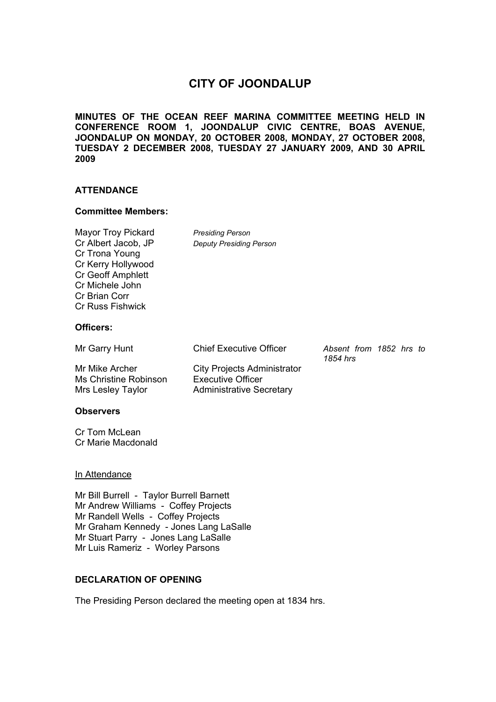# **CITY OF JOONDALUP**

**MINUTES OF THE OCEAN REEF MARINA COMMITTEE MEETING HELD IN CONFERENCE ROOM 1, JOONDALUP CIVIC CENTRE, BOAS AVENUE, JOONDALUP ON MONDAY, 20 OCTOBER 2008, MONDAY, 27 OCTOBER 2008, TUESDAY 2 DECEMBER 2008, TUESDAY 27 JANUARY 2009, AND 30 APRIL 2009** 

#### **ATTENDANCE**

#### **Committee Members:**

Mayor Troy Pickard *Presiding Person*  Cr Albert Jacob, JP *Deputy Presiding Person* Cr Trona Young Cr Kerry Hollywood Cr Geoff Amphlett Cr Michele John Cr Brian Corr Cr Russ Fishwick

**Officers:** 

| Mr Garry Hunt | <b>Chief Executive Officer</b> | Absent from 1852 hrs to |  |  |
|---------------|--------------------------------|-------------------------|--|--|
|               |                                | 1854 hrs                |  |  |

Mr Mike Archer City Projects Administrator Ms Christine Robinson Executive Officer Mrs Lesley Taylor **Administrative Secretary** 

*1854 hrs* 

#### **Observers**

Cr Tom McLean Cr Marie Macdonald

#### In Attendance

Mr Bill Burrell - Taylor Burrell Barnett Mr Andrew Williams - Coffey Projects Mr Randell Wells - Coffey Projects Mr Graham Kennedy - Jones Lang LaSalle Mr Stuart Parry - Jones Lang LaSalle Mr Luis Rameriz - Worley Parsons

#### **DECLARATION OF OPENING**

The Presiding Person declared the meeting open at 1834 hrs.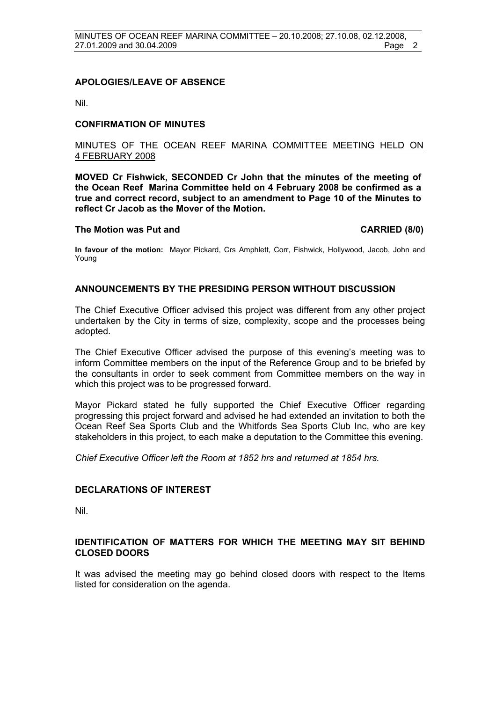#### **APOLOGIES/LEAVE OF ABSENCE**

Nil.

#### **CONFIRMATION OF MINUTES**

#### MINUTES OF THE OCEAN REEF MARINA COMMITTEE MEETING HELD ON 4 FEBRUARY 2008

**MOVED Cr Fishwick, SECONDED Cr John that the minutes of the meeting of the Ocean Reef Marina Committee held on 4 February 2008 be confirmed as a true and correct record, subject to an amendment to Page 10 of the Minutes to reflect Cr Jacob as the Mover of the Motion.** 

#### The Motion was Put and **CARRIED** (8/0)

**In favour of the motion:** Mayor Pickard, Crs Amphlett, Corr, Fishwick, Hollywood, Jacob, John and Young

#### **ANNOUNCEMENTS BY THE PRESIDING PERSON WITHOUT DISCUSSION**

The Chief Executive Officer advised this project was different from any other project undertaken by the City in terms of size, complexity, scope and the processes being adopted.

The Chief Executive Officer advised the purpose of this evening's meeting was to inform Committee members on the input of the Reference Group and to be briefed by the consultants in order to seek comment from Committee members on the way in which this project was to be progressed forward.

Mayor Pickard stated he fully supported the Chief Executive Officer regarding progressing this project forward and advised he had extended an invitation to both the Ocean Reef Sea Sports Club and the Whitfords Sea Sports Club Inc, who are key stakeholders in this project, to each make a deputation to the Committee this evening.

*Chief Executive Officer left the Room at 1852 hrs and returned at 1854 hrs.* 

#### **DECLARATIONS OF INTEREST**

Nil.

#### **IDENTIFICATION OF MATTERS FOR WHICH THE MEETING MAY SIT BEHIND CLOSED DOORS**

It was advised the meeting may go behind closed doors with respect to the Items listed for consideration on the agenda.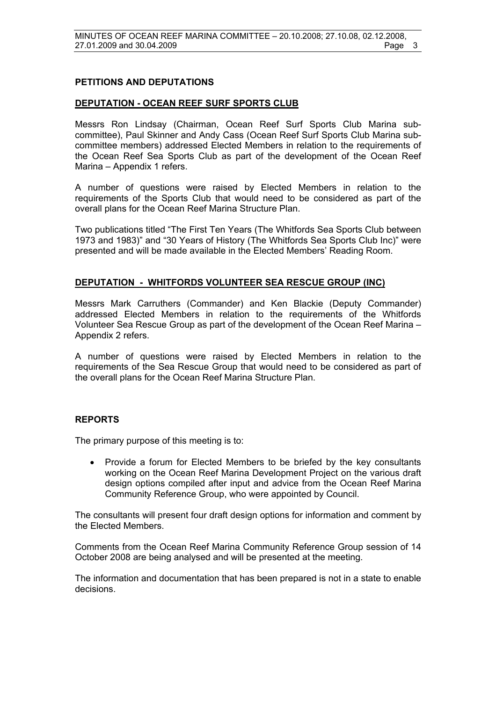#### **PETITIONS AND DEPUTATIONS**

#### **DEPUTATION - OCEAN REEF SURF SPORTS CLUB**

Messrs Ron Lindsay (Chairman, Ocean Reef Surf Sports Club Marina subcommittee), Paul Skinner and Andy Cass (Ocean Reef Surf Sports Club Marina subcommittee members) addressed Elected Members in relation to the requirements of the Ocean Reef Sea Sports Club as part of the development of the Ocean Reef Marina – Appendix 1 refers.

A number of questions were raised by Elected Members in relation to the requirements of the Sports Club that would need to be considered as part of the overall plans for the Ocean Reef Marina Structure Plan.

Two publications titled "The First Ten Years (The Whitfords Sea Sports Club between 1973 and 1983)" and "30 Years of History (The Whitfords Sea Sports Club Inc)" were presented and will be made available in the Elected Members' Reading Room.

#### **DEPUTATION - WHITFORDS VOLUNTEER SEA RESCUE GROUP (INC)**

Messrs Mark Carruthers (Commander) and Ken Blackie (Deputy Commander) addressed Elected Members in relation to the requirements of the Whitfords Volunteer Sea Rescue Group as part of the development of the Ocean Reef Marina – Appendix 2 refers.

A number of questions were raised by Elected Members in relation to the requirements of the Sea Rescue Group that would need to be considered as part of the overall plans for the Ocean Reef Marina Structure Plan.

#### **REPORTS**

The primary purpose of this meeting is to:

• Provide a forum for Elected Members to be briefed by the key consultants working on the Ocean Reef Marina Development Project on the various draft design options compiled after input and advice from the Ocean Reef Marina Community Reference Group, who were appointed by Council.

The consultants will present four draft design options for information and comment by the Elected Members.

Comments from the Ocean Reef Marina Community Reference Group session of 14 October 2008 are being analysed and will be presented at the meeting.

The information and documentation that has been prepared is not in a state to enable decisions.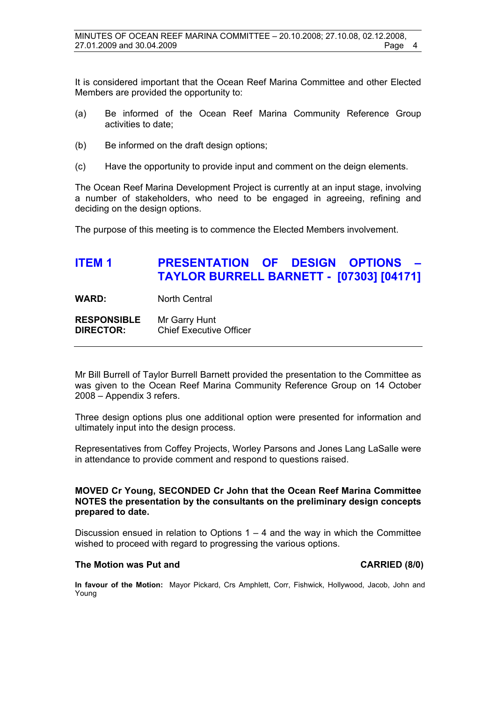It is considered important that the Ocean Reef Marina Committee and other Elected Members are provided the opportunity to:

- (a) Be informed of the Ocean Reef Marina Community Reference Group activities to date;
- (b) Be informed on the draft design options;
- (c) Have the opportunity to provide input and comment on the deign elements.

The Ocean Reef Marina Development Project is currently at an input stage, involving a number of stakeholders, who need to be engaged in agreeing, refining and deciding on the design options.

The purpose of this meeting is to commence the Elected Members involvement.

# **ITEM 1 PRESENTATION OF DESIGN OPTIONS TAYLOR BURRELL BARNETT - [07303] [04171]**

WARD: North Central

**RESPONSIBLE** Mr Garry Hunt **DIRECTOR:** Chief Executive Officer

Mr Bill Burrell of Taylor Burrell Barnett provided the presentation to the Committee as was given to the Ocean Reef Marina Community Reference Group on 14 October 2008 – Appendix 3 refers.

Three design options plus one additional option were presented for information and ultimately input into the design process.

Representatives from Coffey Projects, Worley Parsons and Jones Lang LaSalle were in attendance to provide comment and respond to questions raised.

#### **MOVED Cr Young, SECONDED Cr John that the Ocean Reef Marina Committee NOTES the presentation by the consultants on the preliminary design concepts prepared to date.**

Discussion ensued in relation to Options  $1 - 4$  and the way in which the Committee wished to proceed with regard to progressing the various options.

#### The Motion was Put and **CARRIED** (8/0)

**In favour of the Motion:** Mayor Pickard, Crs Amphlett, Corr, Fishwick, Hollywood, Jacob, John and Young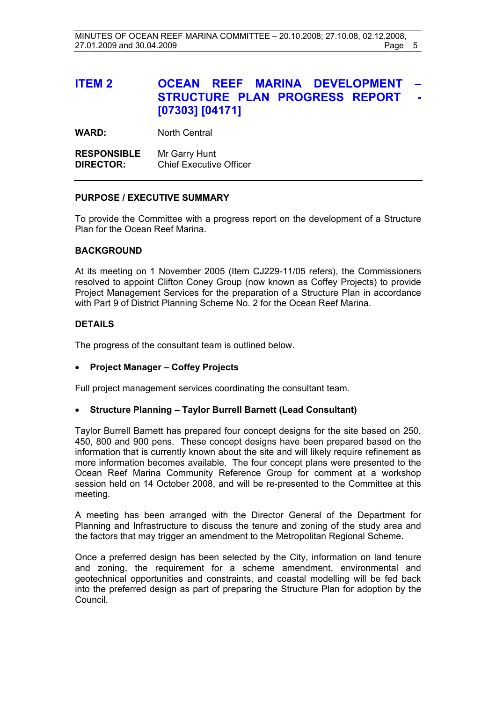# **ITEM 2 OCEAN REEF MARINA DEVELOPMENT STRUCTURE PLAN PROGRESS REPORT [07303] [04171]**

**WARD:** North Central

**RESPONSIBLE** Mr Garry Hunt **DIRECTOR:** Chief Executive Officer

#### **PURPOSE / EXECUTIVE SUMMARY**

To provide the Committee with a progress report on the development of a Structure Plan for the Ocean Reef Marina.

#### **BACKGROUND**

At its meeting on 1 November 2005 (Item CJ229-11/05 refers), the Commissioners resolved to appoint Clifton Coney Group (now known as Coffey Projects) to provide Project Management Services for the preparation of a Structure Plan in accordance with Part 9 of District Planning Scheme No. 2 for the Ocean Reef Marina.

#### **DETAILS**

The progress of the consultant team is outlined below.

#### • **Project Manager – Coffey Projects**

Full project management services coordinating the consultant team.

#### • **Structure Planning – Taylor Burrell Barnett (Lead Consultant)**

Taylor Burrell Barnett has prepared four concept designs for the site based on 250, 450, 800 and 900 pens. These concept designs have been prepared based on the information that is currently known about the site and will likely require refinement as more information becomes available. The four concept plans were presented to the Ocean Reef Marina Community Reference Group for comment at a workshop session held on 14 October 2008, and will be re-presented to the Committee at this meeting.

A meeting has been arranged with the Director General of the Department for Planning and Infrastructure to discuss the tenure and zoning of the study area and the factors that may trigger an amendment to the Metropolitan Regional Scheme.

Once a preferred design has been selected by the City, information on land tenure and zoning, the requirement for a scheme amendment, environmental and geotechnical opportunities and constraints, and coastal modelling will be fed back into the preferred design as part of preparing the Structure Plan for adoption by the Council.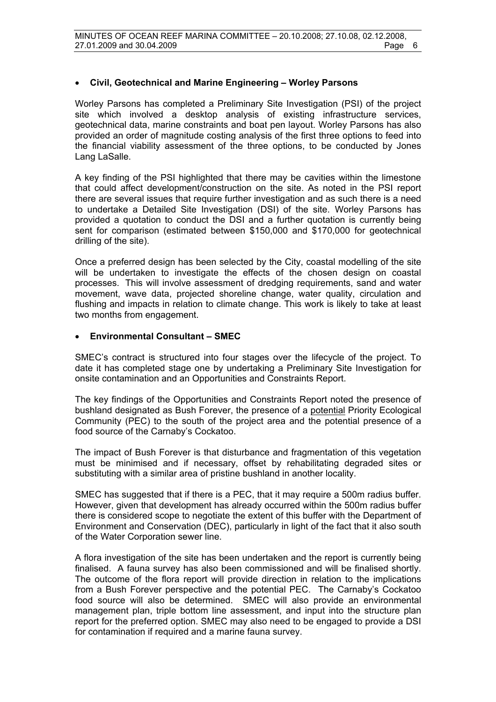### • **Civil, Geotechnical and Marine Engineering – Worley Parsons**

Worley Parsons has completed a Preliminary Site Investigation (PSI) of the project site which involved a desktop analysis of existing infrastructure services, geotechnical data, marine constraints and boat pen layout. Worley Parsons has also provided an order of magnitude costing analysis of the first three options to feed into the financial viability assessment of the three options, to be conducted by Jones Lang LaSalle.

A key finding of the PSI highlighted that there may be cavities within the limestone that could affect development/construction on the site. As noted in the PSI report there are several issues that require further investigation and as such there is a need to undertake a Detailed Site Investigation (DSI) of the site. Worley Parsons has provided a quotation to conduct the DSI and a further quotation is currently being sent for comparison (estimated between \$150,000 and \$170,000 for geotechnical drilling of the site).

Once a preferred design has been selected by the City, coastal modelling of the site will be undertaken to investigate the effects of the chosen design on coastal processes. This will involve assessment of dredging requirements, sand and water movement, wave data, projected shoreline change, water quality, circulation and flushing and impacts in relation to climate change. This work is likely to take at least two months from engagement.

#### • **Environmental Consultant – SMEC**

SMEC's contract is structured into four stages over the lifecycle of the project. To date it has completed stage one by undertaking a Preliminary Site Investigation for onsite contamination and an Opportunities and Constraints Report.

The key findings of the Opportunities and Constraints Report noted the presence of bushland designated as Bush Forever, the presence of a potential Priority Ecological Community (PEC) to the south of the project area and the potential presence of a food source of the Carnaby's Cockatoo.

The impact of Bush Forever is that disturbance and fragmentation of this vegetation must be minimised and if necessary, offset by rehabilitating degraded sites or substituting with a similar area of pristine bushland in another locality.

SMEC has suggested that if there is a PEC, that it may require a 500m radius buffer. However, given that development has already occurred within the 500m radius buffer there is considered scope to negotiate the extent of this buffer with the Department of Environment and Conservation (DEC), particularly in light of the fact that it also south of the Water Corporation sewer line.

A flora investigation of the site has been undertaken and the report is currently being finalised. A fauna survey has also been commissioned and will be finalised shortly. The outcome of the flora report will provide direction in relation to the implications from a Bush Forever perspective and the potential PEC. The Carnaby's Cockatoo food source will also be determined. SMEC will also provide an environmental management plan, triple bottom line assessment, and input into the structure plan report for the preferred option. SMEC may also need to be engaged to provide a DSI for contamination if required and a marine fauna survey.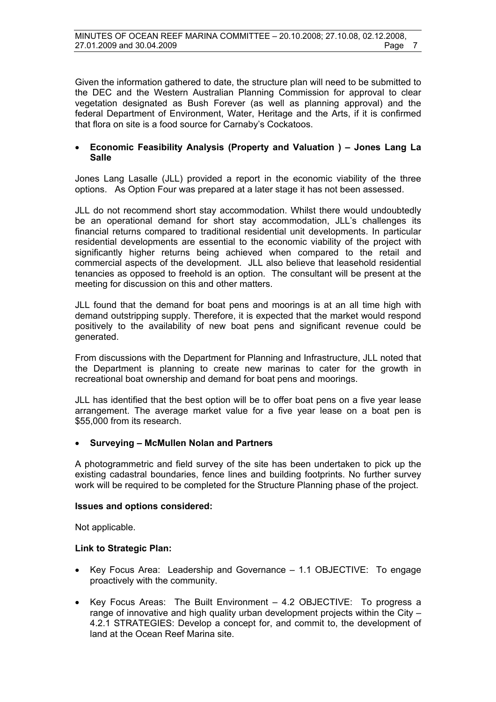Given the information gathered to date, the structure plan will need to be submitted to the DEC and the Western Australian Planning Commission for approval to clear vegetation designated as Bush Forever (as well as planning approval) and the federal Department of Environment, Water, Heritage and the Arts, if it is confirmed that flora on site is a food source for Carnaby's Cockatoos.

#### • **Economic Feasibility Analysis (Property and Valuation ) – Jones Lang La Salle**

Jones Lang Lasalle (JLL) provided a report in the economic viability of the three options. As Option Four was prepared at a later stage it has not been assessed.

JLL do not recommend short stay accommodation. Whilst there would undoubtedly be an operational demand for short stay accommodation, JLL's challenges its financial returns compared to traditional residential unit developments. In particular residential developments are essential to the economic viability of the project with significantly higher returns being achieved when compared to the retail and commercial aspects of the development. JLL also believe that leasehold residential tenancies as opposed to freehold is an option. The consultant will be present at the meeting for discussion on this and other matters.

JLL found that the demand for boat pens and moorings is at an all time high with demand outstripping supply. Therefore, it is expected that the market would respond positively to the availability of new boat pens and significant revenue could be generated.

From discussions with the Department for Planning and Infrastructure, JLL noted that the Department is planning to create new marinas to cater for the growth in recreational boat ownership and demand for boat pens and moorings.

JLL has identified that the best option will be to offer boat pens on a five year lease arrangement. The average market value for a five year lease on a boat pen is \$55,000 from its research.

#### • **Surveying – McMullen Nolan and Partners**

A photogrammetric and field survey of the site has been undertaken to pick up the existing cadastral boundaries, fence lines and building footprints. No further survey work will be required to be completed for the Structure Planning phase of the project.

#### **Issues and options considered:**

Not applicable.

#### **Link to Strategic Plan:**

- Key Focus Area: Leadership and Governance 1.1 OBJECTIVE: To engage proactively with the community.
- Key Focus Areas: The Built Environment 4.2 OBJECTIVE: To progress a range of innovative and high quality urban development projects within the City – 4.2.1 STRATEGIES: Develop a concept for, and commit to, the development of land at the Ocean Reef Marina site.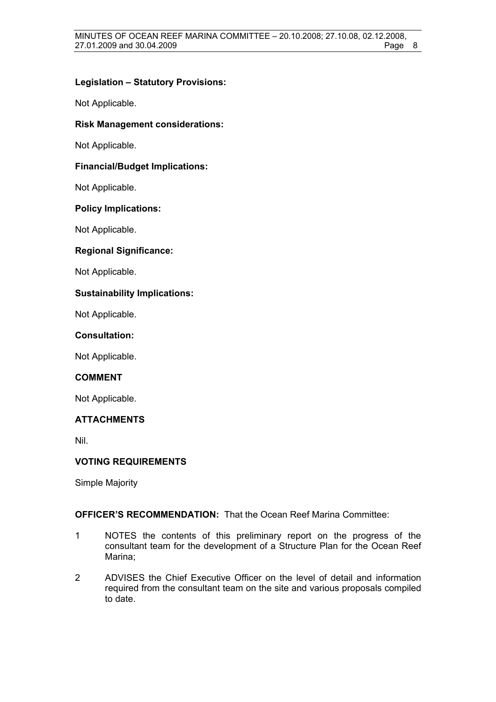### **Legislation – Statutory Provisions:**

Not Applicable.

#### **Risk Management considerations:**

Not Applicable.

#### **Financial/Budget Implications:**

Not Applicable.

#### **Policy Implications:**

Not Applicable.

#### **Regional Significance:**

Not Applicable.

#### **Sustainability Implications:**

Not Applicable.

#### **Consultation:**

Not Applicable.

#### **COMMENT**

Not Applicable.

### **ATTACHMENTS**

Nil.

#### **VOTING REQUIREMENTS**

Simple Majority

### **OFFICER'S RECOMMENDATION:** That the Ocean Reef Marina Committee:

- 1 NOTES the contents of this preliminary report on the progress of the consultant team for the development of a Structure Plan for the Ocean Reef Marina;
- 2 ADVISES the Chief Executive Officer on the level of detail and information required from the consultant team on the site and various proposals compiled to date.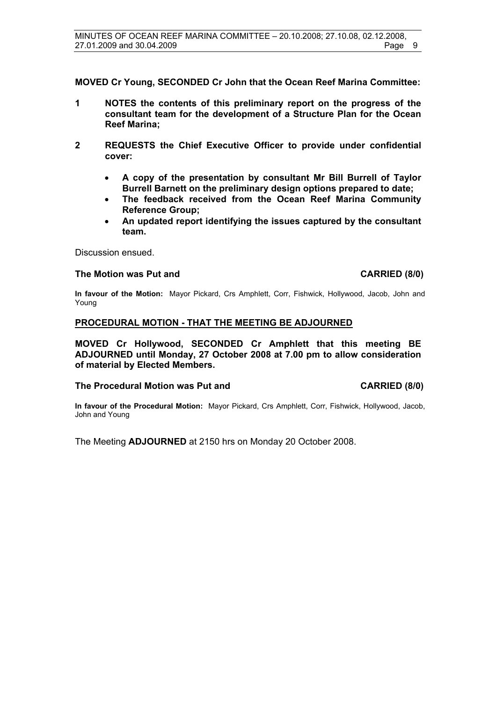**MOVED Cr Young, SECONDED Cr John that the Ocean Reef Marina Committee:** 

- **1 NOTES the contents of this preliminary report on the progress of the consultant team for the development of a Structure Plan for the Ocean Reef Marina;**
- **2 REQUESTS the Chief Executive Officer to provide under confidential cover:** 
	- **A copy of the presentation by consultant Mr Bill Burrell of Taylor Burrell Barnett on the preliminary design options prepared to date;**
	- **The feedback received from the Ocean Reef Marina Community Reference Group;**
	- **An updated report identifying the issues captured by the consultant team.**

Discussion ensued.

#### **The Motion was Put and CARRIED (8/0)**

**In favour of the Motion:** Mayor Pickard, Crs Amphlett, Corr, Fishwick, Hollywood, Jacob, John and Young

#### **PROCEDURAL MOTION - THAT THE MEETING BE ADJOURNED**

**MOVED Cr Hollywood, SECONDED Cr Amphlett that this meeting BE ADJOURNED until Monday, 27 October 2008 at 7.00 pm to allow consideration of material by Elected Members.** 

#### **The Procedural Motion was Put and CARRIED (8/0)**

**In favour of the Procedural Motion:** Mayor Pickard, Crs Amphlett, Corr, Fishwick, Hollywood, Jacob, John and Young

The Meeting **ADJOURNED** at 2150 hrs on Monday 20 October 2008.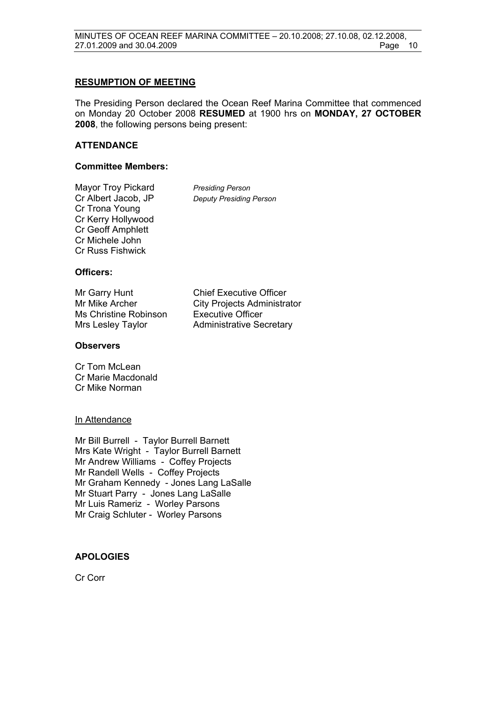#### **RESUMPTION OF MEETING**

The Presiding Person declared the Ocean Reef Marina Committee that commenced on Monday 20 October 2008 **RESUMED** at 1900 hrs on **MONDAY, 27 OCTOBER 2008**, the following persons being present:

#### **ATTENDANCE**

#### **Committee Members:**

Mayor Troy Pickard *Presiding Person*  Cr Trona Young Cr Kerry Hollywood Cr Geoff Amphlett Cr Michele John Cr Russ Fishwick

**Deputy Presiding Person** 

#### **Officers:**

| Mr Garry Hunt         | <b>Chief Executive Officer</b>     |
|-----------------------|------------------------------------|
| Mr Mike Archer        | <b>City Projects Administrator</b> |
| Ms Christine Robinson | <b>Executive Officer</b>           |
| Mrs Lesley Taylor     | <b>Administrative Secretary</b>    |

#### **Observers**

Cr Tom McLean Cr Marie Macdonald Cr Mike Norman

#### In Attendance

Mr Bill Burrell - Taylor Burrell Barnett Mrs Kate Wright - Taylor Burrell Barnett Mr Andrew Williams - Coffey Projects Mr Randell Wells - Coffey Projects Mr Graham Kennedy - Jones Lang LaSalle Mr Stuart Parry - Jones Lang LaSalle Mr Luis Rameriz - Worley Parsons Mr Craig Schluter - Worley Parsons

#### **APOLOGIES**

Cr Corr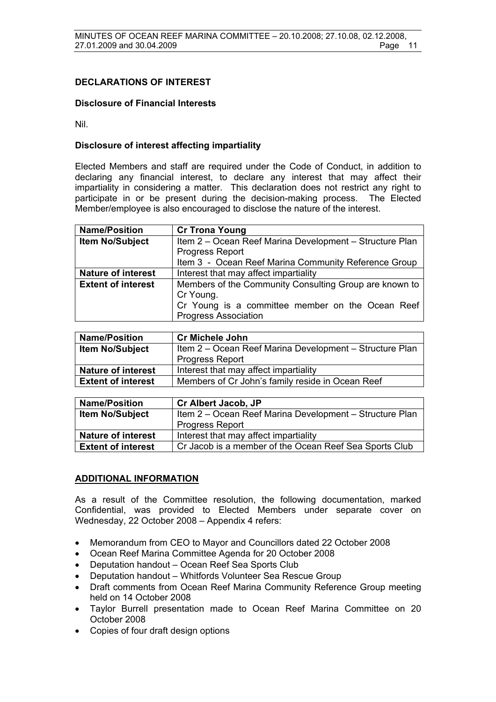#### **DECLARATIONS OF INTEREST**

#### **Disclosure of Financial Interests**

Nil.

#### **Disclosure of interest affecting impartiality**

Elected Members and staff are required under the Code of Conduct, in addition to declaring any financial interest, to declare any interest that may affect their impartiality in considering a matter. This declaration does not restrict any right to participate in or be present during the decision-making process. The Elected Member/employee is also encouraged to disclose the nature of the interest.

| <b>Name/Position</b>      | <b>Cr Trona Young</b>                                   |  |
|---------------------------|---------------------------------------------------------|--|
| <b>Item No/Subject</b>    | Item 2 - Ocean Reef Marina Development - Structure Plan |  |
|                           | <b>Progress Report</b>                                  |  |
|                           | Item 3 - Ocean Reef Marina Community Reference Group    |  |
| <b>Nature of interest</b> | Interest that may affect impartiality                   |  |
| <b>Extent of interest</b> | Members of the Community Consulting Group are known to  |  |
|                           | Cr Young.                                               |  |
|                           | Cr Young is a committee member on the Ocean Reef        |  |
|                           | <b>Progress Association</b>                             |  |

| <b>Name/Position</b>      | <b>Cr Michele John</b>                                  |  |
|---------------------------|---------------------------------------------------------|--|
| <b>Item No/Subject</b>    | Item 2 – Ocean Reef Marina Development – Structure Plan |  |
|                           | <b>Progress Report</b>                                  |  |
| <b>Nature of interest</b> | Interest that may affect impartiality                   |  |
| <b>Extent of interest</b> | Members of Cr John's family reside in Ocean Reef        |  |

| <b>Name/Position</b>      | <b>Cr Albert Jacob, JP</b>                              |  |
|---------------------------|---------------------------------------------------------|--|
| <b>Item No/Subject</b>    | Item 2 - Ocean Reef Marina Development - Structure Plan |  |
|                           | <b>Progress Report</b>                                  |  |
| <b>Nature of interest</b> | Interest that may affect impartiality                   |  |
| <b>Extent of interest</b> | Cr Jacob is a member of the Ocean Reef Sea Sports Club  |  |

#### **ADDITIONAL INFORMATION**

As a result of the Committee resolution, the following documentation, marked Confidential, was provided to Elected Members under separate cover on Wednesday, 22 October 2008 – Appendix 4 refers:

- Memorandum from CEO to Mayor and Councillors dated 22 October 2008
- Ocean Reef Marina Committee Agenda for 20 October 2008
- Deputation handout Ocean Reef Sea Sports Club
- Deputation handout Whitfords Volunteer Sea Rescue Group
- Draft comments from Ocean Reef Marina Community Reference Group meeting held on 14 October 2008
- Taylor Burrell presentation made to Ocean Reef Marina Committee on 20 October 2008
- Copies of four draft design options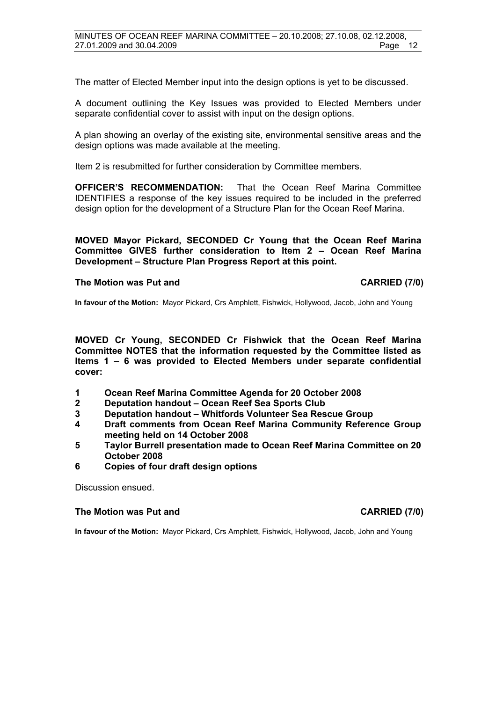The matter of Elected Member input into the design options is yet to be discussed.

A document outlining the Key Issues was provided to Elected Members under separate confidential cover to assist with input on the design options.

A plan showing an overlay of the existing site, environmental sensitive areas and the design options was made available at the meeting.

Item 2 is resubmitted for further consideration by Committee members.

**OFFICER'S RECOMMENDATION:** That the Ocean Reef Marina Committee IDENTIFIES a response of the key issues required to be included in the preferred design option for the development of a Structure Plan for the Ocean Reef Marina.

**MOVED Mayor Pickard, SECONDED Cr Young that the Ocean Reef Marina Committee GIVES further consideration to Item 2 – Ocean Reef Marina Development – Structure Plan Progress Report at this point.** 

#### **The Motion was Put and CARRIED (7/0)**

**In favour of the Motion:** Mayor Pickard, Crs Amphlett, Fishwick, Hollywood, Jacob, John and Young

**MOVED Cr Young, SECONDED Cr Fishwick that the Ocean Reef Marina Committee NOTES that the information requested by the Committee listed as Items 1 – 6 was provided to Elected Members under separate confidential cover:** 

- **1 Ocean Reef Marina Committee Agenda for 20 October 2008**
- **2 Deputation handout Ocean Reef Sea Sports Club**
- **3 Deputation handout Whitfords Volunteer Sea Rescue Group**
- **4 Draft comments from Ocean Reef Marina Community Reference Group meeting held on 14 October 2008**
- **5 Taylor Burrell presentation made to Ocean Reef Marina Committee on 20 October 2008**
- **6 Copies of four draft design options**

Discussion ensued.

#### **The Motion was Put and CARRIED (7/0) CARRIED (7/0)**

**In favour of the Motion:** Mayor Pickard, Crs Amphlett, Fishwick, Hollywood, Jacob, John and Young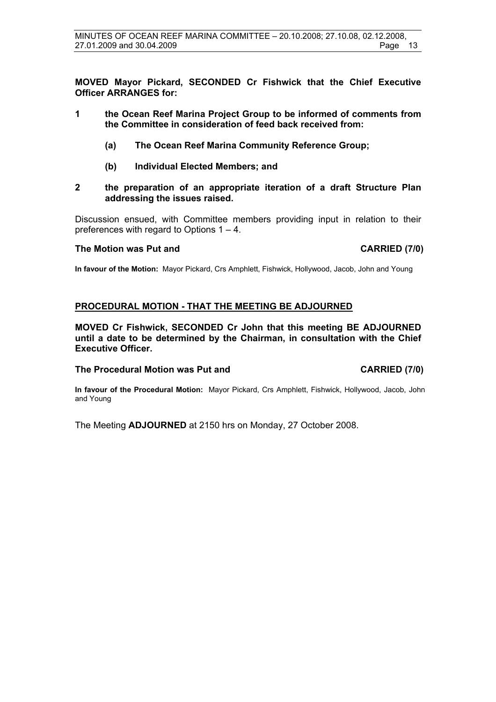**MOVED Mayor Pickard, SECONDED Cr Fishwick that the Chief Executive Officer ARRANGES for:** 

- **1 the Ocean Reef Marina Project Group to be informed of comments from the Committee in consideration of feed back received from:** 
	- **(a) The Ocean Reef Marina Community Reference Group;**
	- **(b) Individual Elected Members; and**
- **2 the preparation of an appropriate iteration of a draft Structure Plan addressing the issues raised.**

Discussion ensued, with Committee members providing input in relation to their preferences with regard to Options 1 – 4.

#### The Motion was Put and **CARRIED** (7/0)

**In favour of the Motion:** Mayor Pickard, Crs Amphlett, Fishwick, Hollywood, Jacob, John and Young

#### **PROCEDURAL MOTION - THAT THE MEETING BE ADJOURNED**

**MOVED Cr Fishwick, SECONDED Cr John that this meeting BE ADJOURNED until a date to be determined by the Chairman, in consultation with the Chief Executive Officer.** 

#### **The Procedural Motion was Put and CARRIED (7/0)**

**In favour of the Procedural Motion:** Mayor Pickard, Crs Amphlett, Fishwick, Hollywood, Jacob, John and Young

The Meeting **ADJOURNED** at 2150 hrs on Monday, 27 October 2008.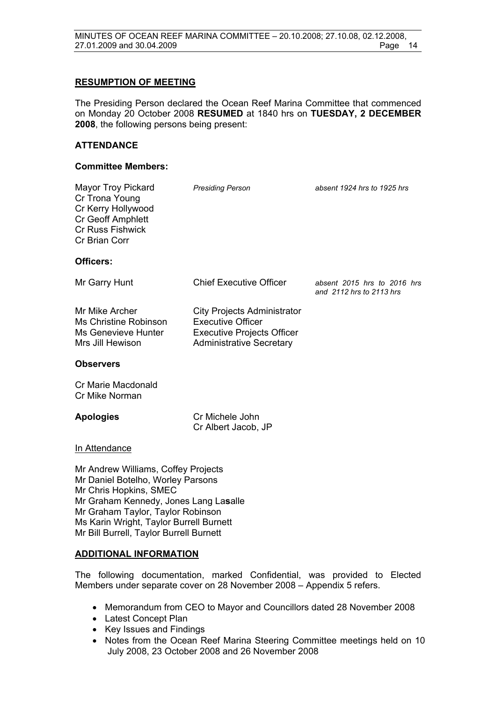#### **RESUMPTION OF MEETING**

The Presiding Person declared the Ocean Reef Marina Committee that commenced on Monday 20 October 2008 **RESUMED** at 1840 hrs on **TUESDAY, 2 DECEMBER 2008**, the following persons being present:

#### **ATTENDANCE**

#### **Committee Members:**

| <b>Mayor Troy Pickard</b><br>Cr Trona Young<br>Cr Kerry Hollywood<br>Cr Geoff Amphlett<br><b>Cr Russ Fishwick</b><br>Cr Brian Corr          | <b>Presiding Person</b>                                                                                                                | absent 1924 hrs to 1925 hrs                             |
|---------------------------------------------------------------------------------------------------------------------------------------------|----------------------------------------------------------------------------------------------------------------------------------------|---------------------------------------------------------|
| Officers:                                                                                                                                   |                                                                                                                                        |                                                         |
| Mr Garry Hunt                                                                                                                               | <b>Chief Executive Officer</b>                                                                                                         | absent 2015 hrs to 2016 hrs<br>and 2112 hrs to 2113 hrs |
| Mr Mike Archer<br><b>Ms Christine Robinson</b><br>Ms Genevieve Hunter<br>Mrs Jill Hewison                                                   | <b>City Projects Administrator</b><br><b>Executive Officer</b><br><b>Executive Projects Officer</b><br><b>Administrative Secretary</b> |                                                         |
| <b>Observers</b>                                                                                                                            |                                                                                                                                        |                                                         |
| Cr Marie Macdonald<br>Cr Mike Norman                                                                                                        |                                                                                                                                        |                                                         |
| <b>Apologies</b>                                                                                                                            | Cr Michele John<br>Cr Albert Jacob, JP                                                                                                 |                                                         |
| In Attendance                                                                                                                               |                                                                                                                                        |                                                         |
| Mr Andrew Williams, Coffey Projects<br>Mr Daniel Botelho, Worley Parsons<br>Mr Chris Hopkins, SMEC<br>Mr Graham Kennedy, Jones Lang Lasalle |                                                                                                                                        |                                                         |

# **ADDITIONAL INFORMATION**

Mr Graham Taylor, Taylor Robinson Ms Karin Wright, Taylor Burrell Burnett Mr Bill Burrell, Taylor Burrell Burnett

The following documentation, marked Confidential, was provided to Elected Members under separate cover on 28 November 2008 – Appendix 5 refers.

- Memorandum from CEO to Mayor and Councillors dated 28 November 2008
- Latest Concept Plan
- Key Issues and Findings
- Notes from the Ocean Reef Marina Steering Committee meetings held on 10 July 2008, 23 October 2008 and 26 November 2008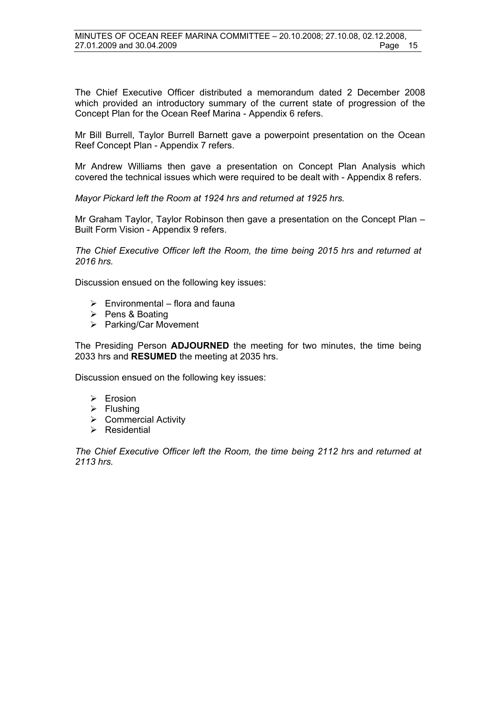The Chief Executive Officer distributed a memorandum dated 2 December 2008 which provided an introductory summary of the current state of progression of the Concept Plan for the Ocean Reef Marina - Appendix 6 refers.

Mr Bill Burrell, Taylor Burrell Barnett gave a powerpoint presentation on the Ocean Reef Concept Plan - Appendix 7 refers.

Mr Andrew Williams then gave a presentation on Concept Plan Analysis which covered the technical issues which were required to be dealt with - Appendix 8 refers.

*Mayor Pickard left the Room at 1924 hrs and returned at 1925 hrs.* 

Mr Graham Taylor, Taylor Robinson then gave a presentation on the Concept Plan – Built Form Vision - Appendix 9 refers.

*The Chief Executive Officer left the Room, the time being 2015 hrs and returned at 2016 hrs.*

Discussion ensued on the following key issues:

- $\triangleright$  Environmental flora and fauna
- $\triangleright$  Pens & Boating
- ¾ Parking/Car Movement

The Presiding Person **ADJOURNED** the meeting for two minutes, the time being 2033 hrs and **RESUMED** the meeting at 2035 hrs.

Discussion ensued on the following key issues:

- $\triangleright$  Erosion
- $\triangleright$  Flushing
- $\triangleright$  Commercial Activity
- $\triangleright$  Residential

*The Chief Executive Officer left the Room, the time being 2112 hrs and returned at 2113 hrs.*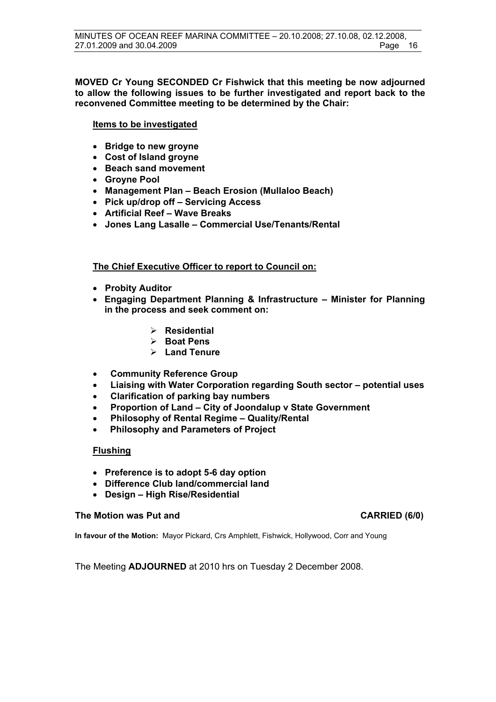#### **MOVED Cr Young SECONDED Cr Fishwick that this meeting be now adjourned to allow the following issues to be further investigated and report back to the reconvened Committee meeting to be determined by the Chair:**

#### **Items to be investigated**

- **Bridge to new groyne**
- **Cost of Island groyne**
- **Beach sand movement**
- **Groyne Pool**
- **Management Plan Beach Erosion (Mullaloo Beach)**
- **Pick up/drop off Servicing Access**
- **Artificial Reef Wave Breaks**
- **Jones Lang Lasalle Commercial Use/Tenants/Rental**

### **The Chief Executive Officer to report to Council on:**

- **Probity Auditor**
- **Engaging Department Planning & Infrastructure Minister for Planning in the process and seek comment on:** 
	- ¾ **Residential**
	- ¾ **Boat Pens**
	- ¾ **Land Tenure**
- • **Community Reference Group**
- • **Liaising with Water Corporation regarding South sector potential uses**
- • **Clarification of parking bay numbers**
- • **Proportion of Land City of Joondalup v State Government**
- • **Philosophy of Rental Regime Quality/Rental**
- • **Philosophy and Parameters of Project**

#### **Flushing**

- **Preference is to adopt 5-6 day option**
- **Difference Club land/commercial land**
- **Design High Rise/Residential**

#### **The Motion was Put and CARRIED (6/0)**

**In favour of the Motion:** Mayor Pickard, Crs Amphlett, Fishwick, Hollywood, Corr and Young

The Meeting **ADJOURNED** at 2010 hrs on Tuesday 2 December 2008.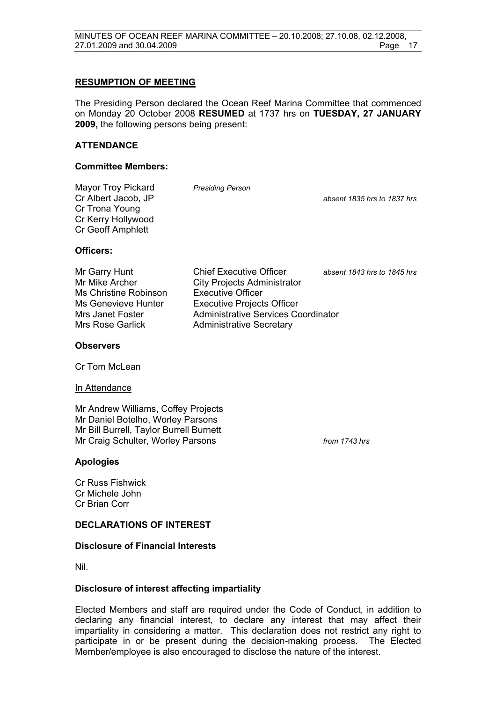#### **RESUMPTION OF MEETING**

The Presiding Person declared the Ocean Reef Marina Committee that commenced on Monday 20 October 2008 **RESUMED** at 1737 hrs on **TUESDAY, 27 JANUARY 2009,** the following persons being present:

#### **ATTENDANCE**

#### **Committee Members:**

| Mayor Troy Pickard<br>Cr Albert Jacob, JP<br>Cr Trona Young<br>Cr Kerry Hollywood<br><b>Cr Geoff Amphlett</b> | <b>Presiding Person</b> | absent 1835 hrs to 1837 hrs |
|---------------------------------------------------------------------------------------------------------------|-------------------------|-----------------------------|
| Officers:                                                                                                     |                         |                             |

Ms Christine Robinson Executive Officer

Mr Garry Hunt Chief Executive Officer *absent 1843 hrs to 1845 hrs* Mr Mike Archer City Projects Administrator Ms Genevieve Hunter Executive Projects Officer Mrs Janet Foster **Administrative Services Coordinator** Mrs Rose Garlick **Administrative Secretary** 

#### **Observers**

Cr Tom McLean

#### In Attendance

Mr Andrew Williams, Coffey Projects Mr Daniel Botelho, Worley Parsons Mr Bill Burrell, Taylor Burrell Burnett Mr Craig Schulter, Worley Parsons *from 1743 hrs* 

**Apologies** 

Cr Russ Fishwick Cr Michele John Cr Brian Corr

#### **DECLARATIONS OF INTEREST**

#### **Disclosure of Financial Interests**

Nil.

#### **Disclosure of interest affecting impartiality**

Elected Members and staff are required under the Code of Conduct, in addition to declaring any financial interest, to declare any interest that may affect their impartiality in considering a matter. This declaration does not restrict any right to participate in or be present during the decision-making process. The Elected Member/employee is also encouraged to disclose the nature of the interest.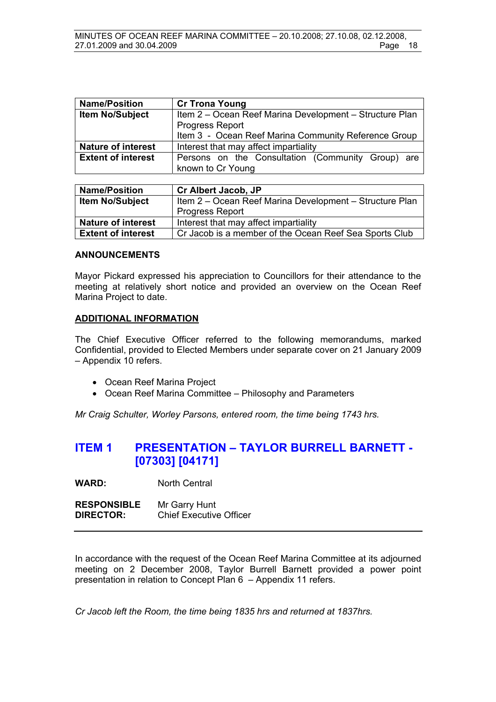| <b>Name/Position</b>      | <b>Cr Trona Young</b>                                   |  |  |
|---------------------------|---------------------------------------------------------|--|--|
| <b>Item No/Subject</b>    | Item 2 – Ocean Reef Marina Development – Structure Plan |  |  |
|                           | <b>Progress Report</b>                                  |  |  |
|                           | Item 3 - Ocean Reef Marina Community Reference Group    |  |  |
| <b>Nature of interest</b> | Interest that may affect impartiality                   |  |  |
| <b>Extent of interest</b> | Persons on the Consultation (Community Group) are       |  |  |
|                           | known to Cr Young                                       |  |  |

| <b>Name/Position</b>      | <b>Cr Albert Jacob, JP</b>                              |  |
|---------------------------|---------------------------------------------------------|--|
| <b>Item No/Subject</b>    | Item 2 - Ocean Reef Marina Development - Structure Plan |  |
|                           | <b>Progress Report</b>                                  |  |
| <b>Nature of interest</b> | Interest that may affect impartiality                   |  |
| <b>Extent of interest</b> | Cr Jacob is a member of the Ocean Reef Sea Sports Club  |  |

#### **ANNOUNCEMENTS**

Mayor Pickard expressed his appreciation to Councillors for their attendance to the meeting at relatively short notice and provided an overview on the Ocean Reef Marina Project to date.

#### **ADDITIONAL INFORMATION**

The Chief Executive Officer referred to the following memorandums, marked Confidential, provided to Elected Members under separate cover on 21 January 2009 – Appendix 10 refers.

- Ocean Reef Marina Project
- Ocean Reef Marina Committee Philosophy and Parameters

*Mr Craig Schulter, Worley Parsons, entered room, the time being 1743 hrs.* 

## **ITEM 1 PRESENTATION – TAYLOR BURRELL BARNETT - [07303] [04171]**

**WARD:** North Central

**RESPONSIBLE** Mr Garry Hunt **DIRECTOR:** Chief Executive Officer

In accordance with the request of the Ocean Reef Marina Committee at its adjourned meeting on 2 December 2008, Taylor Burrell Barnett provided a power point presentation in relation to Concept Plan 6 – Appendix 11 refers.

*Cr Jacob left the Room, the time being 1835 hrs and returned at 1837hrs.*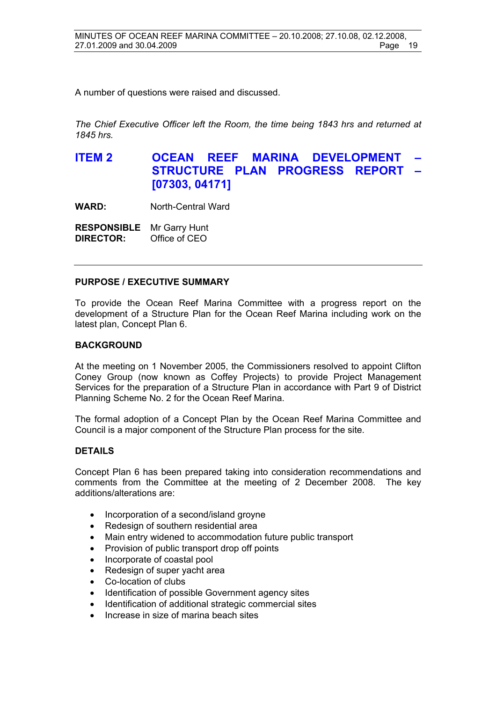A number of questions were raised and discussed.

*The Chief Executive Officer left the Room, the time being 1843 hrs and returned at 1845 hrs.*

**ITEM 2 OCEAN REEF MARINA DEVELOPMENT STRUCTURE PLAN PROGRESS REPORT – [07303, 04171]**

**WARD:** North-Central Ward

| <b>RESPONSIBLE</b> | Mr Garry Hunt |
|--------------------|---------------|
| <b>DIRECTOR:</b>   | Office of CEO |

#### **PURPOSE / EXECUTIVE SUMMARY**

To provide the Ocean Reef Marina Committee with a progress report on the development of a Structure Plan for the Ocean Reef Marina including work on the latest plan, Concept Plan 6.

#### **BACKGROUND**

At the meeting on 1 November 2005, the Commissioners resolved to appoint Clifton Coney Group (now known as Coffey Projects) to provide Project Management Services for the preparation of a Structure Plan in accordance with Part 9 of District Planning Scheme No. 2 for the Ocean Reef Marina.

The formal adoption of a Concept Plan by the Ocean Reef Marina Committee and Council is a major component of the Structure Plan process for the site.

#### **DETAILS**

Concept Plan 6 has been prepared taking into consideration recommendations and comments from the Committee at the meeting of 2 December 2008. The key additions/alterations are:

- Incorporation of a second/island groyne
- Redesign of southern residential area
- Main entry widened to accommodation future public transport
- Provision of public transport drop off points
- Incorporate of coastal pool
- Redesign of super vacht area
- Co-location of clubs
- Identification of possible Government agency sites
- Identification of additional strategic commercial sites
- Increase in size of marina beach sites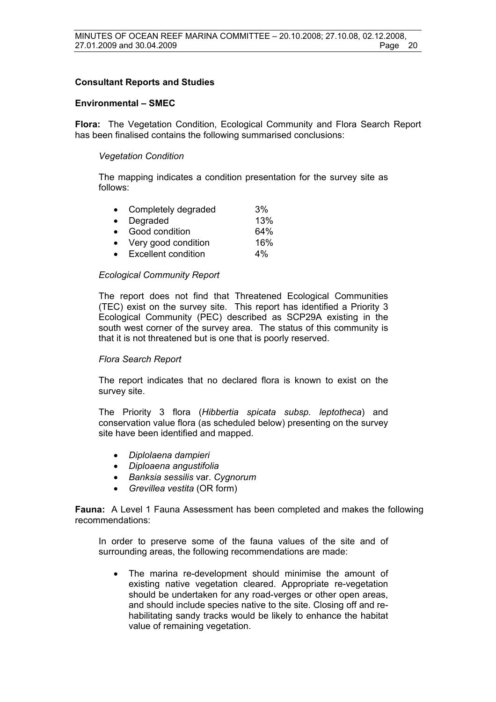#### **Consultant Reports and Studies**

#### **Environmental – SMEC**

**Flora:** The Vegetation Condition, Ecological Community and Flora Search Report has been finalised contains the following summarised conclusions:

#### *Vegetation Condition*

The mapping indicates a condition presentation for the survey site as follows:

| $\bullet$ | Completely degraded        | 3%  |
|-----------|----------------------------|-----|
| $\bullet$ | Degraded                   | 13% |
| $\bullet$ | Good condition             | 64% |
|           | Very good condition        | 16% |
|           | <b>Excellent condition</b> | 4%  |

#### *Ecological Community Report*

The report does not find that Threatened Ecological Communities (TEC) exist on the survey site. This report has identified a Priority 3 Ecological Community (PEC) described as SCP29A existing in the south west corner of the survey area. The status of this community is that it is not threatened but is one that is poorly reserved.

#### *Flora Search Report*

The report indicates that no declared flora is known to exist on the survey site.

The Priority 3 flora (*Hibbertia spicata subsp. leptotheca*) and conservation value flora (as scheduled below) presenting on the survey site have been identified and mapped.

- *Diplolaena dampieri*
- *Diploaena angustifolia*
- *Banksia sessilis* var. *Cygnorum*
- *Grevillea vestita* (OR form)

**Fauna:** A Level 1 Fauna Assessment has been completed and makes the following recommendations:

In order to preserve some of the fauna values of the site and of surrounding areas, the following recommendations are made:

• The marina re-development should minimise the amount of existing native vegetation cleared. Appropriate re-vegetation should be undertaken for any road-verges or other open areas, and should include species native to the site. Closing off and rehabilitating sandy tracks would be likely to enhance the habitat value of remaining vegetation.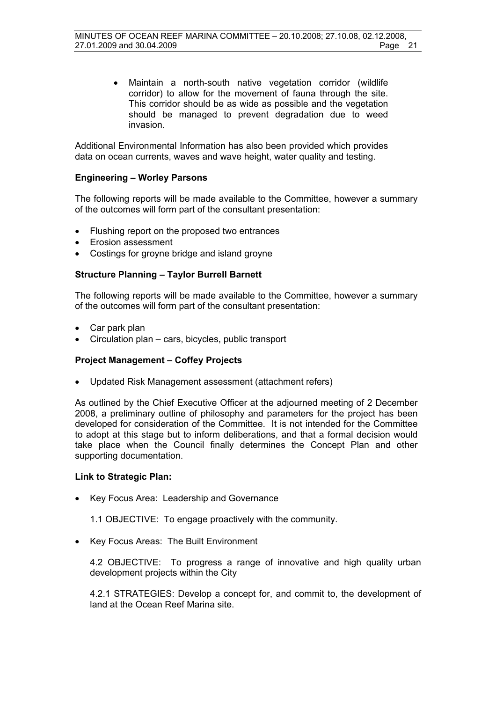• Maintain a north-south native vegetation corridor (wildlife corridor) to allow for the movement of fauna through the site. This corridor should be as wide as possible and the vegetation should be managed to prevent degradation due to weed invasion.

Additional Environmental Information has also been provided which provides data on ocean currents, waves and wave height, water quality and testing.

#### **Engineering – Worley Parsons**

The following reports will be made available to the Committee, however a summary of the outcomes will form part of the consultant presentation:

- Flushing report on the proposed two entrances
- Erosion assessment
- Costings for groyne bridge and island groyne

#### **Structure Planning – Taylor Burrell Barnett**

The following reports will be made available to the Committee, however a summary of the outcomes will form part of the consultant presentation:

- Car park plan
- Circulation plan cars, bicycles, public transport

#### **Project Management – Coffey Projects**

• Updated Risk Management assessment (attachment refers)

As outlined by the Chief Executive Officer at the adjourned meeting of 2 December 2008, a preliminary outline of philosophy and parameters for the project has been developed for consideration of the Committee. It is not intended for the Committee to adopt at this stage but to inform deliberations, and that a formal decision would take place when the Council finally determines the Concept Plan and other supporting documentation.

#### **Link to Strategic Plan:**

• Key Focus Area: Leadership and Governance

1.1 OBJECTIVE: To engage proactively with the community.

• Key Focus Areas: The Built Environment

4.2 OBJECTIVE: To progress a range of innovative and high quality urban development projects within the City

4.2.1 STRATEGIES: Develop a concept for, and commit to, the development of land at the Ocean Reef Marina site.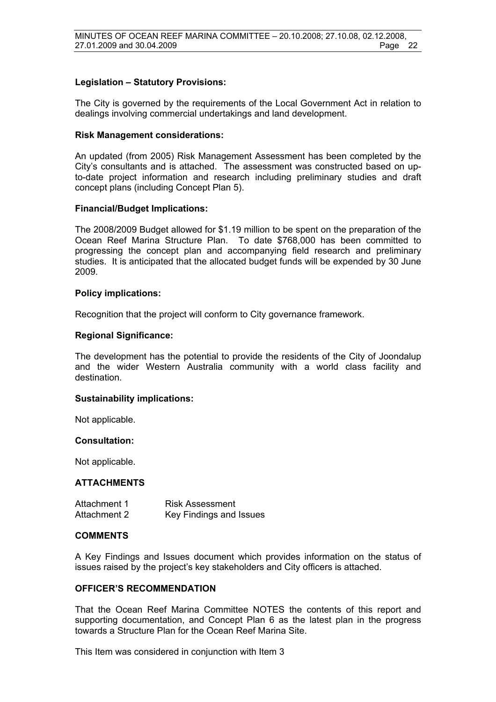#### **Legislation – Statutory Provisions:**

The City is governed by the requirements of the Local Government Act in relation to dealings involving commercial undertakings and land development.

#### **Risk Management considerations:**

An updated (from 2005) Risk Management Assessment has been completed by the City's consultants and is attached. The assessment was constructed based on upto-date project information and research including preliminary studies and draft concept plans (including Concept Plan 5).

#### **Financial/Budget Implications:**

The 2008/2009 Budget allowed for \$1.19 million to be spent on the preparation of the Ocean Reef Marina Structure Plan. To date \$768,000 has been committed to progressing the concept plan and accompanying field research and preliminary studies. It is anticipated that the allocated budget funds will be expended by 30 June 2009.

#### **Policy implications:**

Recognition that the project will conform to City governance framework.

#### **Regional Significance:**

The development has the potential to provide the residents of the City of Joondalup and the wider Western Australia community with a world class facility and destination.

#### **Sustainability implications:**

Not applicable.

#### **Consultation:**

Not applicable.

#### **ATTACHMENTS**

| Attachment 1 | <b>Risk Assessment</b>  |
|--------------|-------------------------|
| Attachment 2 | Key Findings and Issues |

#### **COMMENTS**

A Key Findings and Issues document which provides information on the status of issues raised by the project's key stakeholders and City officers is attached.

### **OFFICER'S RECOMMENDATION**

That the Ocean Reef Marina Committee NOTES the contents of this report and supporting documentation, and Concept Plan 6 as the latest plan in the progress towards a Structure Plan for the Ocean Reef Marina Site.

This Item was considered in conjunction with Item 3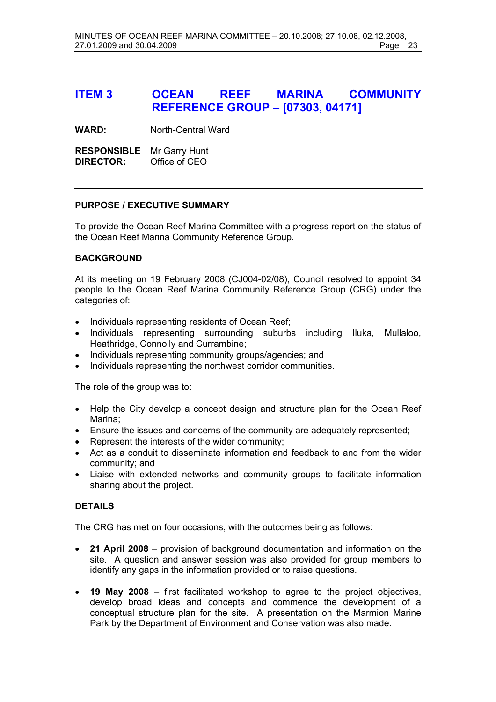# **ITEM 3 OCEAN REEF MARINA COMMUNITY REFERENCE GROUP – [07303, 04171]**

**WARD:** North-Central Ward

**RESPONSIBLE** Mr Garry Hunt **DIRECTOR:** Office of CEO

#### **PURPOSE / EXECUTIVE SUMMARY**

To provide the Ocean Reef Marina Committee with a progress report on the status of the Ocean Reef Marina Community Reference Group.

#### **BACKGROUND**

At its meeting on 19 February 2008 (CJ004-02/08), Council resolved to appoint 34 people to the Ocean Reef Marina Community Reference Group (CRG) under the categories of:

- Individuals representing residents of Ocean Reef;
- Individuals representing surrounding suburbs including Iluka, Mullaloo, Heathridge, Connolly and Currambine;
- Individuals representing community groups/agencies; and
- Individuals representing the northwest corridor communities.

The role of the group was to:

- Help the City develop a concept design and structure plan for the Ocean Reef Marina;
- Ensure the issues and concerns of the community are adequately represented;
- Represent the interests of the wider community;
- Act as a conduit to disseminate information and feedback to and from the wider community; and
- Liaise with extended networks and community groups to facilitate information sharing about the project.

### **DETAILS**

The CRG has met on four occasions, with the outcomes being as follows:

- **21 April 2008** provision of background documentation and information on the site. A question and answer session was also provided for group members to identify any gaps in the information provided or to raise questions.
- **19 May 2008** first facilitated workshop to agree to the project objectives, develop broad ideas and concepts and commence the development of a conceptual structure plan for the site. A presentation on the Marmion Marine Park by the Department of Environment and Conservation was also made.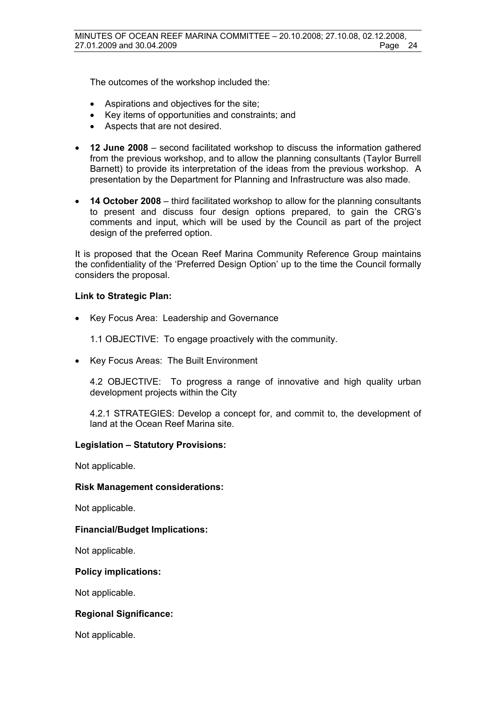The outcomes of the workshop included the:

- Aspirations and objectives for the site;
- Key items of opportunities and constraints; and
- Aspects that are not desired.
- **12 June 2008** second facilitated workshop to discuss the information gathered from the previous workshop, and to allow the planning consultants (Taylor Burrell Barnett) to provide its interpretation of the ideas from the previous workshop. A presentation by the Department for Planning and Infrastructure was also made.
- **14 October 2008** third facilitated workshop to allow for the planning consultants to present and discuss four design options prepared, to gain the CRG's comments and input, which will be used by the Council as part of the project design of the preferred option.

It is proposed that the Ocean Reef Marina Community Reference Group maintains the confidentiality of the 'Preferred Design Option' up to the time the Council formally considers the proposal.

#### **Link to Strategic Plan:**

• Key Focus Area: Leadership and Governance

1.1 OBJECTIVE: To engage proactively with the community.

• Key Focus Areas: The Built Environment

4.2 OBJECTIVE: To progress a range of innovative and high quality urban development projects within the City

4.2.1 STRATEGIES: Develop a concept for, and commit to, the development of land at the Ocean Reef Marina site.

#### **Legislation – Statutory Provisions:**

Not applicable.

#### **Risk Management considerations:**

Not applicable.

#### **Financial/Budget Implications:**

Not applicable.

#### **Policy implications:**

Not applicable.

#### **Regional Significance:**

Not applicable.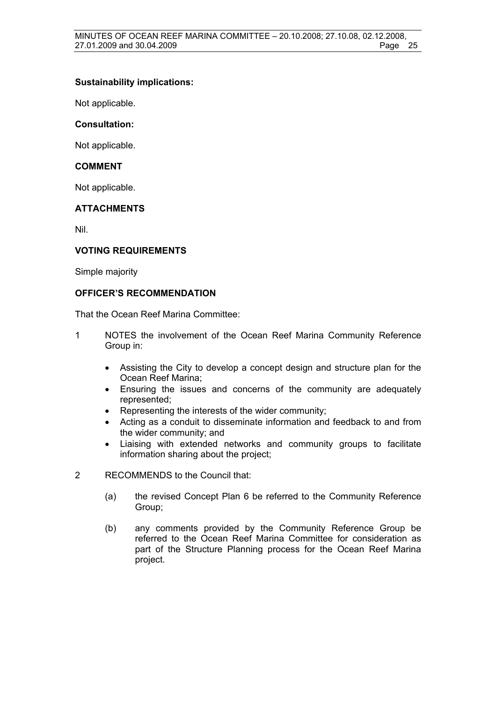### **Sustainability implications:**

Not applicable.

### **Consultation:**

Not applicable.

#### **COMMENT**

Not applicable.

#### **ATTACHMENTS**

Nil.

#### **VOTING REQUIREMENTS**

Simple majority

#### **OFFICER'S RECOMMENDATION**

That the Ocean Reef Marina Committee:

- 1 NOTES the involvement of the Ocean Reef Marina Community Reference Group in:
	- Assisting the City to develop a concept design and structure plan for the Ocean Reef Marina;
	- Ensuring the issues and concerns of the community are adequately represented;
	- Representing the interests of the wider community;
	- Acting as a conduit to disseminate information and feedback to and from the wider community; and
	- Liaising with extended networks and community groups to facilitate information sharing about the project;
- 2 RECOMMENDS to the Council that:
	- (a) the revised Concept Plan 6 be referred to the Community Reference Group;
	- (b) any comments provided by the Community Reference Group be referred to the Ocean Reef Marina Committee for consideration as part of the Structure Planning process for the Ocean Reef Marina project.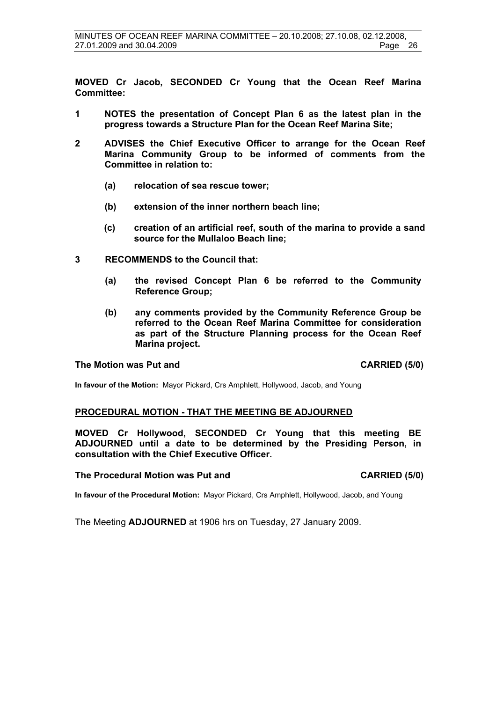**MOVED Cr Jacob, SECONDED Cr Young that the Ocean Reef Marina Committee:** 

- **1 NOTES the presentation of Concept Plan 6 as the latest plan in the progress towards a Structure Plan for the Ocean Reef Marina Site;**
- **2 ADVISES the Chief Executive Officer to arrange for the Ocean Reef Marina Community Group to be informed of comments from the Committee in relation to:** 
	- **(a) relocation of sea rescue tower;**
	- **(b) extension of the inner northern beach line;**
	- **(c) creation of an artificial reef, south of the marina to provide a sand source for the Mullaloo Beach line;**
- **3 RECOMMENDS to the Council that:** 
	- **(a) the revised Concept Plan 6 be referred to the Community Reference Group;**
	- **(b) any comments provided by the Community Reference Group be referred to the Ocean Reef Marina Committee for consideration as part of the Structure Planning process for the Ocean Reef Marina project.**

#### **The Motion was Put and CARRIED (5/0)**

**In favour of the Motion:** Mayor Pickard, Crs Amphlett, Hollywood, Jacob, and Young

#### **PROCEDURAL MOTION - THAT THE MEETING BE ADJOURNED**

**MOVED Cr Hollywood, SECONDED Cr Young that this meeting BE ADJOURNED until a date to be determined by the Presiding Person, in consultation with the Chief Executive Officer.** 

#### **The Procedural Motion was Put and CARRIED (5/0)**

**In favour of the Procedural Motion:** Mayor Pickard, Crs Amphlett, Hollywood, Jacob, and Young

The Meeting **ADJOURNED** at 1906 hrs on Tuesday, 27 January 2009.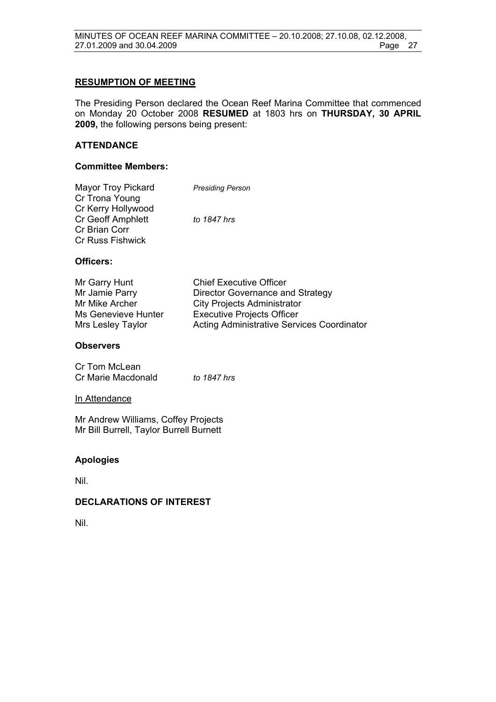#### **RESUMPTION OF MEETING**

The Presiding Person declared the Ocean Reef Marina Committee that commenced on Monday 20 October 2008 **RESUMED** at 1803 hrs on **THURSDAY, 30 APRIL 2009,** the following persons being present:

#### **ATTENDANCE**

#### **Committee Members:**

| <b>Mayor Troy Pickard</b> | <b>Presiding Person</b> |
|---------------------------|-------------------------|
| Cr Trona Young            |                         |
| Cr Kerry Hollywood        |                         |
| <b>Cr Geoff Amphlett</b>  | to 1847 hrs             |
| Cr Brian Corr             |                         |
| <b>Cr Russ Fishwick</b>   |                         |
|                           |                         |

#### **Officers:**

| Mr Garry Hunt       | <b>Chief Executive Officer</b>                    |
|---------------------|---------------------------------------------------|
| Mr Jamie Parry      | Director Governance and Strategy                  |
| Mr Mike Archer      | <b>City Projects Administrator</b>                |
| Ms Genevieve Hunter | <b>Executive Projects Officer</b>                 |
| Mrs Lesley Taylor   | <b>Acting Administrative Services Coordinator</b> |

#### **Observers**

| Cr Tom McLean      |             |
|--------------------|-------------|
| Cr Marie Macdonald | to 1847 hrs |

#### In Attendance

Mr Andrew Williams, Coffey Projects Mr Bill Burrell, Taylor Burrell Burnett

### **Apologies**

Nil.

#### **DECLARATIONS OF INTEREST**

Nil.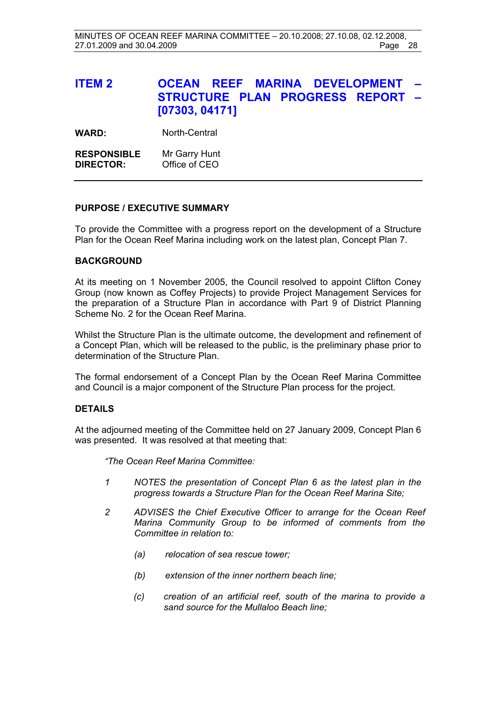# **ITEM 2 OCEAN REEF MARINA DEVELOPMENT STRUCTURE PLAN PROGRESS REPORT – [07303, 04171]**

WARD: North-Central

**RESPONSIBLE** Mr Garry Hunt **DIRECTOR:** Office of CEO

#### **PURPOSE / EXECUTIVE SUMMARY**

To provide the Committee with a progress report on the development of a Structure Plan for the Ocean Reef Marina including work on the latest plan, Concept Plan 7.

#### **BACKGROUND**

At its meeting on 1 November 2005, the Council resolved to appoint Clifton Coney Group (now known as Coffey Projects) to provide Project Management Services for the preparation of a Structure Plan in accordance with Part 9 of District Planning Scheme No. 2 for the Ocean Reef Marina.

Whilst the Structure Plan is the ultimate outcome, the development and refinement of a Concept Plan, which will be released to the public, is the preliminary phase prior to determination of the Structure Plan.

The formal endorsement of a Concept Plan by the Ocean Reef Marina Committee and Council is a major component of the Structure Plan process for the project.

#### **DETAILS**

At the adjourned meeting of the Committee held on 27 January 2009, Concept Plan 6 was presented. It was resolved at that meeting that:

*"The Ocean Reef Marina Committee:* 

- *1 NOTES the presentation of Concept Plan 6 as the latest plan in the progress towards a Structure Plan for the Ocean Reef Marina Site;*
- *2 ADVISES the Chief Executive Officer to arrange for the Ocean Reef Marina Community Group to be informed of comments from the Committee in relation to:* 
	- *(a) relocation of sea rescue tower;*
	- *(b) extension of the inner northern beach line;*
	- *(c) creation of an artificial reef, south of the marina to provide a sand source for the Mullaloo Beach line;*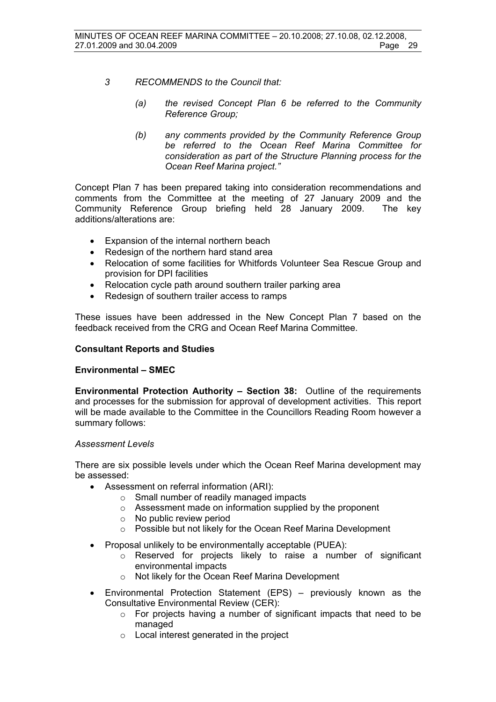- *3 RECOMMENDS to the Council that:* 
	- *(a) the revised Concept Plan 6 be referred to the Community Reference Group;*
	- *(b) any comments provided by the Community Reference Group be referred to the Ocean Reef Marina Committee for consideration as part of the Structure Planning process for the Ocean Reef Marina project."*

Concept Plan 7 has been prepared taking into consideration recommendations and comments from the Committee at the meeting of 27 January 2009 and the Community Reference Group briefing held 28 January 2009. The key additions/alterations are:

- Expansion of the internal northern beach
- Redesign of the northern hard stand area
- Relocation of some facilities for Whitfords Volunteer Sea Rescue Group and provision for DPI facilities
- Relocation cycle path around southern trailer parking area
- Redesign of southern trailer access to ramps

These issues have been addressed in the New Concept Plan 7 based on the feedback received from the CRG and Ocean Reef Marina Committee.

#### **Consultant Reports and Studies**

#### **Environmental – SMEC**

**Environmental Protection Authority – Section 38:** Outline of the requirements and processes for the submission for approval of development activities. This report will be made available to the Committee in the Councillors Reading Room however a summary follows:

#### *Assessment Levels*

There are six possible levels under which the Ocean Reef Marina development may be assessed:

- Assessment on referral information (ARI):
	- o Small number of readily managed impacts
	- o Assessment made on information supplied by the proponent
	- o No public review period
	- o Possible but not likely for the Ocean Reef Marina Development
- Proposal unlikely to be environmentally acceptable (PUEA):
	- o Reserved for projects likely to raise a number of significant environmental impacts
	- o Not likely for the Ocean Reef Marina Development
- Environmental Protection Statement (EPS) previously known as the Consultative Environmental Review (CER):
	- o For projects having a number of significant impacts that need to be managed
	- o Local interest generated in the project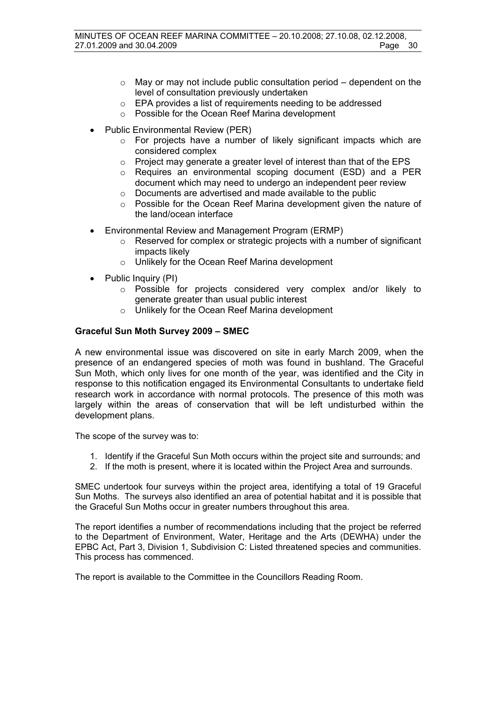- $\circ$  May or may not include public consultation period dependent on the level of consultation previously undertaken
- o EPA provides a list of requirements needing to be addressed
- o Possible for the Ocean Reef Marina development
- Public Environmental Review (PER)
	- o For projects have a number of likely significant impacts which are considered complex
	- o Project may generate a greater level of interest than that of the EPS
	- o Requires an environmental scoping document (ESD) and a PER document which may need to undergo an independent peer review
	- o Documents are advertised and made available to the public
	- $\circ$  Possible for the Ocean Reef Marina development given the nature of the land/ocean interface
- Environmental Review and Management Program (ERMP)
	- o Reserved for complex or strategic projects with a number of significant impacts likely
	- o Unlikely for the Ocean Reef Marina development
- Public Inquiry (PI)
	- o Possible for projects considered very complex and/or likely to generate greater than usual public interest
	- o Unlikely for the Ocean Reef Marina development

### **Graceful Sun Moth Survey 2009 – SMEC**

A new environmental issue was discovered on site in early March 2009, when the presence of an endangered species of moth was found in bushland. The Graceful Sun Moth, which only lives for one month of the year, was identified and the City in response to this notification engaged its Environmental Consultants to undertake field research work in accordance with normal protocols. The presence of this moth was largely within the areas of conservation that will be left undisturbed within the development plans.

The scope of the survey was to:

- 1. Identify if the Graceful Sun Moth occurs within the project site and surrounds; and
- 2. If the moth is present, where it is located within the Project Area and surrounds.

SMEC undertook four surveys within the project area, identifying a total of 19 Graceful Sun Moths. The surveys also identified an area of potential habitat and it is possible that the Graceful Sun Moths occur in greater numbers throughout this area.

The report identifies a number of recommendations including that the project be referred to the Department of Environment, Water, Heritage and the Arts (DEWHA) under the EPBC Act, Part 3, Division 1, Subdivision C: Listed threatened species and communities. This process has commenced.

The report is available to the Committee in the Councillors Reading Room.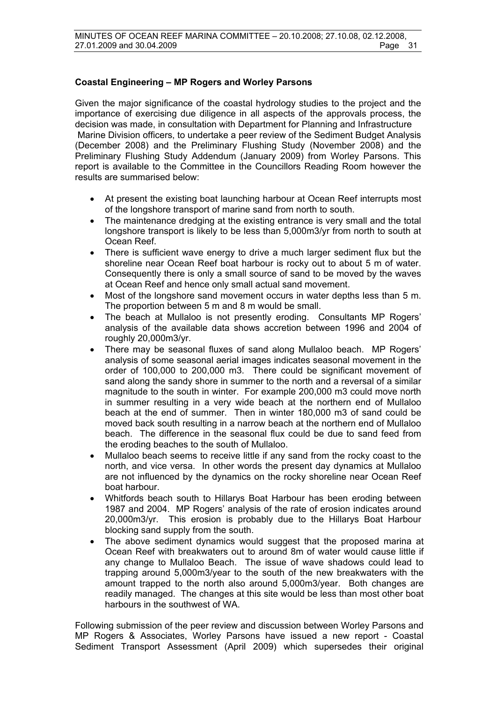### **Coastal Engineering – MP Rogers and Worley Parsons**

Given the major significance of the coastal hydrology studies to the project and the importance of exercising due diligence in all aspects of the approvals process, the decision was made, in consultation with Department for Planning and Infrastructure Marine Division officers, to undertake a peer review of the Sediment Budget Analysis (December 2008) and the Preliminary Flushing Study (November 2008) and the Preliminary Flushing Study Addendum (January 2009) from Worley Parsons. This report is available to the Committee in the Councillors Reading Room however the results are summarised below:

- At present the existing boat launching harbour at Ocean Reef interrupts most of the longshore transport of marine sand from north to south.
- The maintenance dredging at the existing entrance is very small and the total longshore transport is likely to be less than 5,000m3/yr from north to south at Ocean Reef.
- There is sufficient wave energy to drive a much larger sediment flux but the shoreline near Ocean Reef boat harbour is rocky out to about 5 m of water. Consequently there is only a small source of sand to be moved by the waves at Ocean Reef and hence only small actual sand movement.
- Most of the longshore sand movement occurs in water depths less than 5 m. The proportion between 5 m and 8 m would be small.
- The beach at Mullaloo is not presently eroding. Consultants MP Rogers' analysis of the available data shows accretion between 1996 and 2004 of roughly 20,000m3/yr.
- There may be seasonal fluxes of sand along Mullaloo beach. MP Rogers' analysis of some seasonal aerial images indicates seasonal movement in the order of 100,000 to 200,000 m3. There could be significant movement of sand along the sandy shore in summer to the north and a reversal of a similar magnitude to the south in winter. For example 200,000 m3 could move north in summer resulting in a very wide beach at the northern end of Mullaloo beach at the end of summer. Then in winter 180,000 m3 of sand could be moved back south resulting in a narrow beach at the northern end of Mullaloo beach. The difference in the seasonal flux could be due to sand feed from the eroding beaches to the south of Mullaloo.
- Mullaloo beach seems to receive little if any sand from the rocky coast to the north, and vice versa. In other words the present day dynamics at Mullaloo are not influenced by the dynamics on the rocky shoreline near Ocean Reef boat harbour.
- Whitfords beach south to Hillarys Boat Harbour has been eroding between 1987 and 2004. MP Rogers' analysis of the rate of erosion indicates around 20,000m3/yr. This erosion is probably due to the Hillarys Boat Harbour blocking sand supply from the south.
- The above sediment dynamics would suggest that the proposed marina at Ocean Reef with breakwaters out to around 8m of water would cause little if any change to Mullaloo Beach. The issue of wave shadows could lead to trapping around 5,000m3/year to the south of the new breakwaters with the amount trapped to the north also around 5,000m3/year. Both changes are readily managed. The changes at this site would be less than most other boat harbours in the southwest of WA.

Following submission of the peer review and discussion between Worley Parsons and MP Rogers & Associates, Worley Parsons have issued a new report - Coastal Sediment Transport Assessment (April 2009) which supersedes their original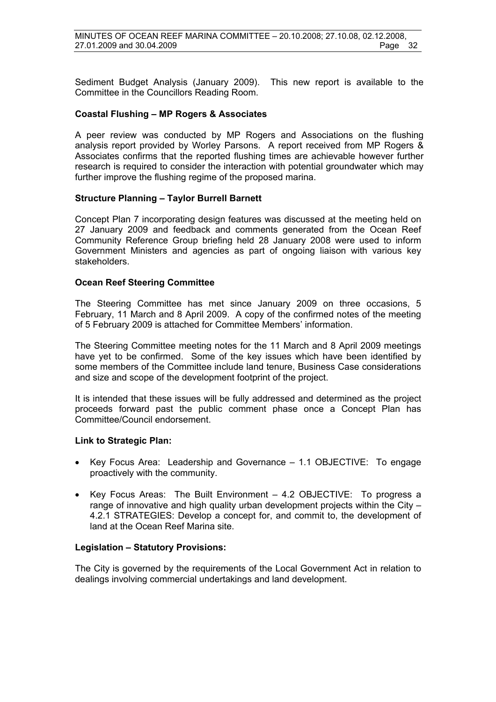Sediment Budget Analysis (January 2009). This new report is available to the Committee in the Councillors Reading Room.

#### **Coastal Flushing – MP Rogers & Associates**

A peer review was conducted by MP Rogers and Associations on the flushing analysis report provided by Worley Parsons. A report received from MP Rogers & Associates confirms that the reported flushing times are achievable however further research is required to consider the interaction with potential groundwater which may further improve the flushing regime of the proposed marina.

#### **Structure Planning – Taylor Burrell Barnett**

Concept Plan 7 incorporating design features was discussed at the meeting held on 27 January 2009 and feedback and comments generated from the Ocean Reef Community Reference Group briefing held 28 January 2008 were used to inform Government Ministers and agencies as part of ongoing liaison with various key stakeholders.

#### **Ocean Reef Steering Committee**

The Steering Committee has met since January 2009 on three occasions, 5 February, 11 March and 8 April 2009. A copy of the confirmed notes of the meeting of 5 February 2009 is attached for Committee Members' information.

The Steering Committee meeting notes for the 11 March and 8 April 2009 meetings have yet to be confirmed. Some of the key issues which have been identified by some members of the Committee include land tenure, Business Case considerations and size and scope of the development footprint of the project.

It is intended that these issues will be fully addressed and determined as the project proceeds forward past the public comment phase once a Concept Plan has Committee/Council endorsement.

#### **Link to Strategic Plan:**

- Key Focus Area: Leadership and Governance 1.1 OBJECTIVE: To engage proactively with the community.
- Key Focus Areas: The Built Environment 4.2 OBJECTIVE: To progress a range of innovative and high quality urban development projects within the City  $-$ 4.2.1 STRATEGIES: Develop a concept for, and commit to, the development of land at the Ocean Reef Marina site.

#### **Legislation – Statutory Provisions:**

The City is governed by the requirements of the Local Government Act in relation to dealings involving commercial undertakings and land development.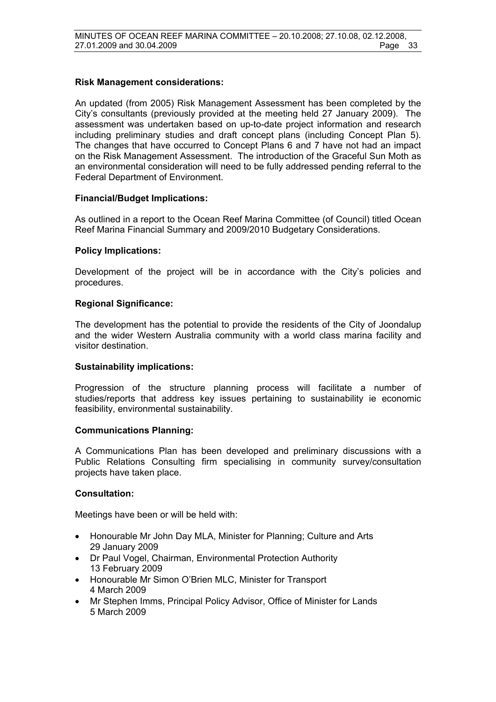#### **Risk Management considerations:**

An updated (from 2005) Risk Management Assessment has been completed by the City's consultants (previously provided at the meeting held 27 January 2009). The assessment was undertaken based on up-to-date project information and research including preliminary studies and draft concept plans (including Concept Plan 5). The changes that have occurred to Concept Plans 6 and 7 have not had an impact on the Risk Management Assessment. The introduction of the Graceful Sun Moth as an environmental consideration will need to be fully addressed pending referral to the Federal Department of Environment.

#### **Financial/Budget Implications:**

As outlined in a report to the Ocean Reef Marina Committee (of Council) titled Ocean Reef Marina Financial Summary and 2009/2010 Budgetary Considerations.

#### **Policy Implications:**

Development of the project will be in accordance with the City's policies and procedures.

#### **Regional Significance:**

The development has the potential to provide the residents of the City of Joondalup and the wider Western Australia community with a world class marina facility and visitor destination.

#### **Sustainability implications:**

Progression of the structure planning process will facilitate a number of studies/reports that address key issues pertaining to sustainability ie economic feasibility, environmental sustainability.

#### **Communications Planning:**

A Communications Plan has been developed and preliminary discussions with a Public Relations Consulting firm specialising in community survey/consultation projects have taken place.

#### **Consultation:**

Meetings have been or will be held with:

- Honourable Mr John Day MLA, Minister for Planning; Culture and Arts 29 January 2009
- Dr Paul Vogel, Chairman, Environmental Protection Authority 13 February 2009
- Honourable Mr Simon O'Brien MLC, Minister for Transport 4 March 2009
- Mr Stephen Imms, Principal Policy Advisor, Office of Minister for Lands 5 March 2009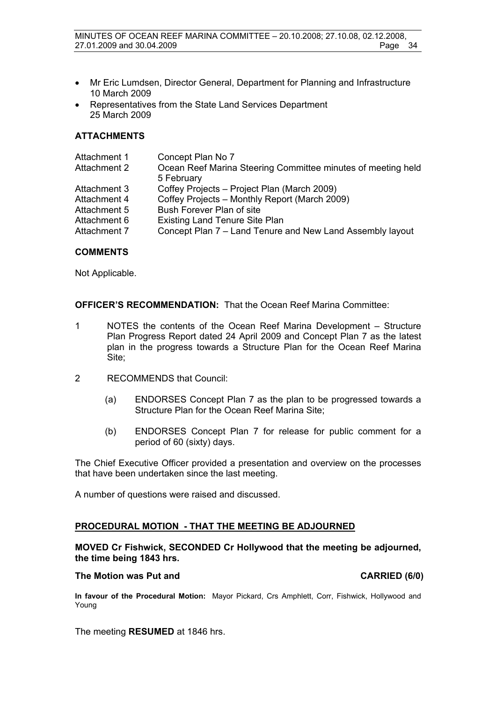- Mr Eric Lumdsen, Director General, Department for Planning and Infrastructure 10 March 2009
- Representatives from the State Land Services Department 25 March 2009

#### **ATTACHMENTS**

| Attachment 1 | Concept Plan No 7                                            |
|--------------|--------------------------------------------------------------|
| Attachment 2 | Ocean Reef Marina Steering Committee minutes of meeting held |
|              | 5 February                                                   |
| Attachment 3 | Coffey Projects - Project Plan (March 2009)                  |
| Attachment 4 | Coffey Projects - Monthly Report (March 2009)                |
| Attachment 5 | Bush Forever Plan of site                                    |
| Attachment 6 | <b>Existing Land Tenure Site Plan</b>                        |
| Attachment 7 | Concept Plan 7 – Land Tenure and New Land Assembly layout    |
|              |                                                              |

#### **COMMENTS**

Not Applicable.

**OFFICER'S RECOMMENDATION:** That the Ocean Reef Marina Committee:

- 1 NOTES the contents of the Ocean Reef Marina Development Structure Plan Progress Report dated 24 April 2009 and Concept Plan 7 as the latest plan in the progress towards a Structure Plan for the Ocean Reef Marina Site;
- 2 RECOMMENDS that Council:
	- (a) ENDORSES Concept Plan 7 as the plan to be progressed towards a Structure Plan for the Ocean Reef Marina Site;
	- (b) ENDORSES Concept Plan 7 for release for public comment for a period of 60 (sixty) days.

The Chief Executive Officer provided a presentation and overview on the processes that have been undertaken since the last meeting.

A number of questions were raised and discussed.

#### **PROCEDURAL MOTION - THAT THE MEETING BE ADJOURNED**

#### **MOVED Cr Fishwick, SECONDED Cr Hollywood that the meeting be adjourned, the time being 1843 hrs.**

#### The Motion was Put and **CARRIED** (6/0)

**In favour of the Procedural Motion:** Mayor Pickard, Crs Amphlett, Corr, Fishwick, Hollywood and Young

The meeting **RESUMED** at 1846 hrs.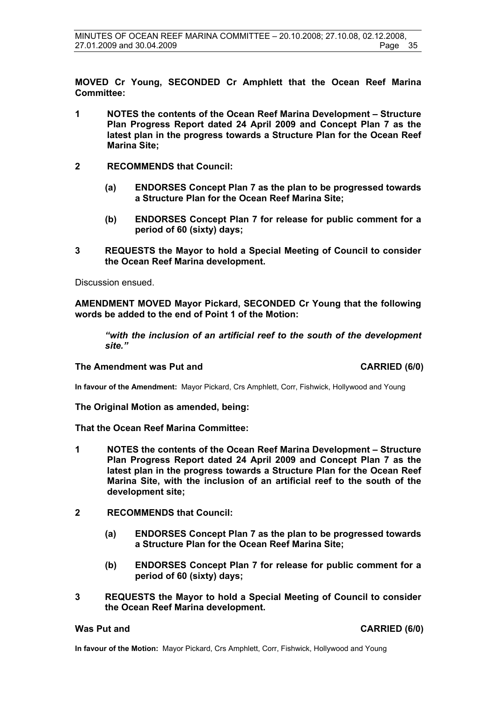**MOVED Cr Young, SECONDED Cr Amphlett that the Ocean Reef Marina Committee:** 

- **1 NOTES the contents of the Ocean Reef Marina Development Structure Plan Progress Report dated 24 April 2009 and Concept Plan 7 as the latest plan in the progress towards a Structure Plan for the Ocean Reef Marina Site;**
- **2 RECOMMENDS that Council:** 
	- **(a) ENDORSES Concept Plan 7 as the plan to be progressed towards a Structure Plan for the Ocean Reef Marina Site;**
	- **(b) ENDORSES Concept Plan 7 for release for public comment for a period of 60 (sixty) days;**
- **3 REQUESTS the Mayor to hold a Special Meeting of Council to consider the Ocean Reef Marina development.**

Discussion ensued.

**AMENDMENT MOVED Mayor Pickard, SECONDED Cr Young that the following words be added to the end of Point 1 of the Motion:** 

*"with the inclusion of an artificial reef to the south of the development site."* 

#### The Amendment was Put and **CARRIED** (6/0)

**In favour of the Amendment:** Mayor Pickard, Crs Amphlett, Corr, Fishwick, Hollywood and Young

**The Original Motion as amended, being:** 

**That the Ocean Reef Marina Committee:** 

- **1 NOTES the contents of the Ocean Reef Marina Development Structure Plan Progress Report dated 24 April 2009 and Concept Plan 7 as the latest plan in the progress towards a Structure Plan for the Ocean Reef Marina Site, with the inclusion of an artificial reef to the south of the development site;**
- **2 RECOMMENDS that Council:** 
	- **(a) ENDORSES Concept Plan 7 as the plan to be progressed towards a Structure Plan for the Ocean Reef Marina Site;**
	- **(b) ENDORSES Concept Plan 7 for release for public comment for a period of 60 (sixty) days;**
- **3 REQUESTS the Mayor to hold a Special Meeting of Council to consider the Ocean Reef Marina development.**

**Was Put and CARRIED (6/0)** 

**In favour of the Motion:** Mayor Pickard, Crs Amphlett, Corr, Fishwick, Hollywood and Young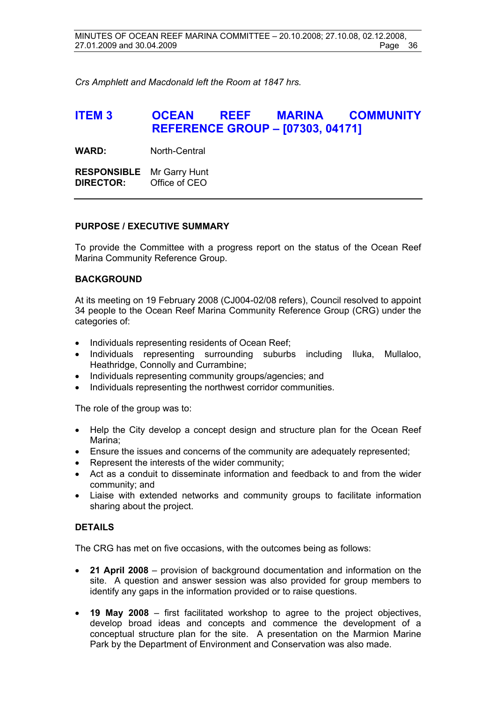*Crs Amphlett and Macdonald left the Room at 1847 hrs.* 

# **ITEM 3 OCEAN REEF MARINA COMMUNITY REFERENCE GROUP – [07303, 04171]**

**WARD:** North-Central

**RESPONSIBLE** Mr Garry Hunt **DIRECTOR:** Office of CEO

#### **PURPOSE / EXECUTIVE SUMMARY**

To provide the Committee with a progress report on the status of the Ocean Reef Marina Community Reference Group.

#### **BACKGROUND**

At its meeting on 19 February 2008 (CJ004-02/08 refers), Council resolved to appoint 34 people to the Ocean Reef Marina Community Reference Group (CRG) under the categories of:

- Individuals representing residents of Ocean Reef;
- Individuals representing surrounding suburbs including Iluka, Mullaloo, Heathridge, Connolly and Currambine;
- Individuals representing community groups/agencies; and
- Individuals representing the northwest corridor communities.

The role of the group was to:

- Help the City develop a concept design and structure plan for the Ocean Reef Marina;
- Ensure the issues and concerns of the community are adequately represented;
- Represent the interests of the wider community;
- Act as a conduit to disseminate information and feedback to and from the wider community; and
- Liaise with extended networks and community groups to facilitate information sharing about the project.

### **DETAILS**

The CRG has met on five occasions, with the outcomes being as follows:

- **21 April 2008** provision of background documentation and information on the site. A question and answer session was also provided for group members to identify any gaps in the information provided or to raise questions.
- **19 May 2008** first facilitated workshop to agree to the project objectives, develop broad ideas and concepts and commence the development of a conceptual structure plan for the site. A presentation on the Marmion Marine Park by the Department of Environment and Conservation was also made.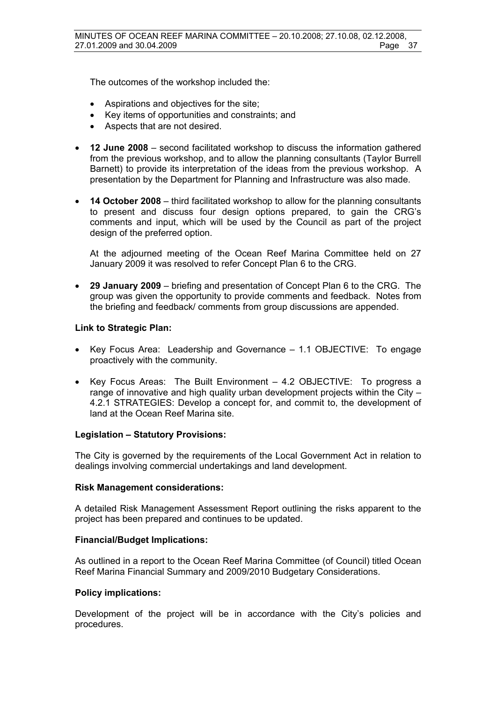The outcomes of the workshop included the:

- Aspirations and objectives for the site;
- Key items of opportunities and constraints; and
- Aspects that are not desired.
- **12 June 2008** second facilitated workshop to discuss the information gathered from the previous workshop, and to allow the planning consultants (Taylor Burrell Barnett) to provide its interpretation of the ideas from the previous workshop. A presentation by the Department for Planning and Infrastructure was also made.
- **14 October 2008** third facilitated workshop to allow for the planning consultants to present and discuss four design options prepared, to gain the CRG's comments and input, which will be used by the Council as part of the project design of the preferred option.

At the adjourned meeting of the Ocean Reef Marina Committee held on 27 January 2009 it was resolved to refer Concept Plan 6 to the CRG.

• **29 January 2009** – briefing and presentation of Concept Plan 6 to the CRG. The group was given the opportunity to provide comments and feedback. Notes from the briefing and feedback/ comments from group discussions are appended.

#### **Link to Strategic Plan:**

- Key Focus Area: Leadership and Governance 1.1 OBJECTIVE: To engage proactively with the community.
- Key Focus Areas: The Built Environment 4.2 OBJECTIVE: To progress a range of innovative and high quality urban development projects within the City – 4.2.1 STRATEGIES: Develop a concept for, and commit to, the development of land at the Ocean Reef Marina site.

#### **Legislation – Statutory Provisions:**

The City is governed by the requirements of the Local Government Act in relation to dealings involving commercial undertakings and land development.

#### **Risk Management considerations:**

A detailed Risk Management Assessment Report outlining the risks apparent to the project has been prepared and continues to be updated.

#### **Financial/Budget Implications:**

As outlined in a report to the Ocean Reef Marina Committee (of Council) titled Ocean Reef Marina Financial Summary and 2009/2010 Budgetary Considerations.

#### **Policy implications:**

Development of the project will be in accordance with the City's policies and procedures.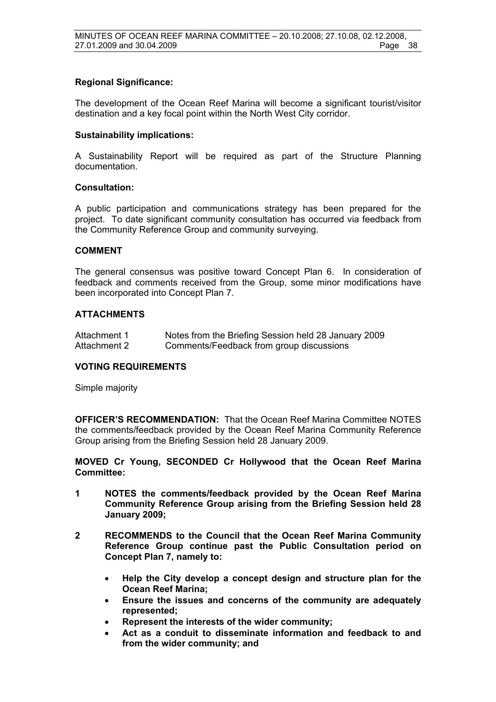#### **Regional Significance:**

The development of the Ocean Reef Marina will become a significant tourist/visitor destination and a key focal point within the North West City corridor.

#### **Sustainability implications:**

A Sustainability Report will be required as part of the Structure Planning documentation.

#### **Consultation:**

A public participation and communications strategy has been prepared for the project. To date significant community consultation has occurred via feedback from the Community Reference Group and community surveying.

#### **COMMENT**

The general consensus was positive toward Concept Plan 6. In consideration of feedback and comments received from the Group, some minor modifications have been incorporated into Concept Plan 7.

#### **ATTACHMENTS**

| Attachment 1 | Notes from the Briefing Session held 28 January 2009 |
|--------------|------------------------------------------------------|
| Attachment 2 | Comments/Feedback from group discussions             |

#### **VOTING REQUIREMENTS**

Simple majority

**OFFICER'S RECOMMENDATION:** That the Ocean Reef Marina Committee NOTES the comments/feedback provided by the Ocean Reef Marina Community Reference Group arising from the Briefing Session held 28 January 2009.

**MOVED Cr Young, SECONDED Cr Hollywood that the Ocean Reef Marina Committee:** 

- **1 NOTES the comments/feedback provided by the Ocean Reef Marina Community Reference Group arising from the Briefing Session held 28 January 2009;**
- **2 RECOMMENDS to the Council that the Ocean Reef Marina Community Reference Group continue past the Public Consultation period on Concept Plan 7, namely to:** 
	- **Help the City develop a concept design and structure plan for the Ocean Reef Marina;**
	- **Ensure the issues and concerns of the community are adequately represented;**
	- **Represent the interests of the wider community;**
	- **Act as a conduit to disseminate information and feedback to and from the wider community; and**